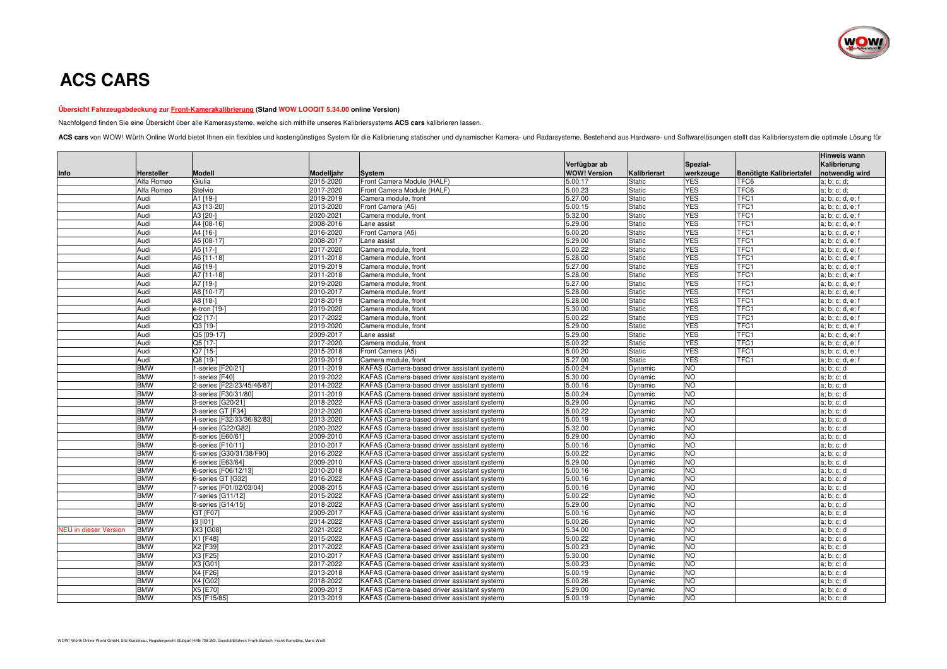

## **ACS CARS**

## **Übersicht Fahrzeugabdeckung zur Front-Kamerakalibrierung (Stand WOW LOOQIT 5.34.00 online Version)**

Nachfolgend finden Sie eine Übersicht über alle Kamerasysteme, welche sich mithilfe unseres Kalibriersystems **ACS cars** kalibrieren lassen.

ACS cars von WOW! Würth Online World bietet Ihnen ein flexibles und kostengünstiges System für die Kalibrierung statischer und dynamischer Kamera- und Radarsysteme. Bestehend aus Hardware- und Softwarelösungen stellt das K

| Verfügbar ab<br>Kalibrierung<br>Spezial-<br><b>WOW! Version</b><br>werkzeuge<br>notwendig wird<br>Hersteller<br><b>Modell</b><br>Modelljahr<br>Kalibrierart<br>Benötigte Kalibriertafel<br>Info<br><b>System</b><br>Alfa Romeo<br>2015-2020<br>Front Camera Module (HALF)<br>5.00.17<br><b>YES</b><br>Giulia<br><b>Static</b><br>TFC6<br>a; b; c; d;<br>Alfa Romeo<br>Stelvio<br>2017-2020<br>Front Camera Module (HALF)<br>5.00.23<br><b>YES</b><br>TFC6<br>a; b; c; d;<br><b>Static</b><br><b>YES</b><br>2019-2019<br>5.27.00<br>TFC1<br>Audi<br>A1 [19-]<br>Camera module, front<br><b>Static</b><br>a; b; c; d, e; f<br>Audi<br>A3 [13-20]<br>2013-2020<br><b>Static</b><br><b>YES</b><br>TFC1<br>Front Camera (A5)<br>5.00.15<br>a; b; c; d, e; f<br>Audi<br>A3 [20-]<br>2020-2021<br>Camera module, front<br>5.32.00<br><b>Static</b><br><b>YES</b><br>TFC1<br>a; b; c; d, e; f<br><b>YES</b><br>TFC1<br>Audi<br>A4 [08-16]<br>2008-2016<br>5.29.00<br><b>Static</b><br>Lane assist<br>a; b; c; d, e; f<br><b>YES</b><br>Audi<br>A4 [16-]<br>2016-2020<br>Front Camera (A5)<br>5.00.20<br>TFC1<br><b>Static</b><br>a; b; c; d, e; f<br><b>YES</b><br>Audi<br>A5 [08-17]<br>2008-2017<br>5.29.00<br><b>Static</b><br>TFC1<br>Lane assist<br>a; b; c; d, e; f<br>Audi<br>A5 [17-]<br>2017-2020<br>5.00.22<br><b>Static</b><br>YES<br>TFC1<br>Camera module, front<br>a; b; c; d, e; f<br><b>YES</b><br>Audi<br>A6 [11-18]<br>2011-2018<br>Camera module, front<br>5.28.00<br><b>Static</b><br>TFC1<br>a; b; c; d, e; f<br>A6 [19-]<br><b>YES</b><br>TFC1<br>Audi<br>2019-2019<br>Camera module, front<br>5.27.00<br><b>Static</b><br>a; b; c; d, e; f<br>Audi<br>A7 [11-18]<br>2011-2018<br>5.28.00<br><b>YES</b><br>TFC1<br>Camera module, front<br><b>Static</b><br>a; b; c; d, e; f<br><b>YES</b><br>TFC1<br>Audi<br>A7 [19-]<br>2019-2020<br>5.27.00<br><b>Static</b><br>Camera module, front<br>a; b; c; d, e; f<br>Audi<br>A8 [10-17]<br>2010-2017<br>5.28.00<br><b>Static</b><br>YES<br>TFC1<br>Camera module, front<br>a; b; c; d, e; f<br><b>YES</b><br>Audi<br>A8 [18-]<br>2018-2019<br>Camera module, front<br>5.28.00<br><b>Static</b><br>TFC1<br>a; b; c; d, e; f<br>Audi<br>2019-2020<br><b>YES</b><br>TFC1<br>Camera module, front<br>5.30.00<br><b>Static</b><br>e-tron [19-]<br>a; b; c; d, e; f<br>Audi<br>Q2 [17-]<br>2017-2022<br>5.00.22<br><b>YES</b><br>TFC1<br>Camera module, front<br><b>Static</b><br>a; b; c; d, e; f<br>Q3 [19-]<br>TFC1<br>Audi<br>2019-2020<br>Camera module, front<br>5.29.00<br>YES<br><b>Static</b><br>a; b; c; d, e; f<br><b>YES</b><br>TFC1<br>Audi<br>Q5 [09-17]<br>2009-2017<br>5.29.00<br><b>Static</b><br>Lane assist<br>a; b; c; d, e; f<br><b>YES</b><br>TFC1<br>Audi<br>Q5 [17-]<br>2017-2020<br>Camera module, front<br>5.00.22<br><b>Static</b><br>a; b; c; d, e; f<br>Audi<br>2015-2018<br>Front Camera (A5)<br><b>YES</b><br>TFC1<br>Q7 [15-]<br>5.00.20<br><b>Static</b><br>a; b; c; d, e; f<br>YES<br>Audi<br>Q8 [19-]<br>2019-2019<br>Camera module, front<br>5.27.00<br>Static<br>TFC1<br>a; b; c; d, e; f<br><b>BMW</b><br>1-series [F20/21]<br>2011-2019<br>KAFAS (Camera-based driver assistant system)<br>5.00.24<br><b>NO</b><br>Dynamic<br>a; b; c; d<br><b>BMW</b><br>2019-2022<br>5.30.00<br><b>NO</b><br>I-series [F40]<br>KAFAS (Camera-based driver assistant system)<br>Dynamic<br>a; b; c; d<br><b>BMW</b><br>NO<br>2-series [F22/23/45/46/87]<br>2014-2022<br>KAFAS (Camera-based driver assistant system)<br>5.00.16<br>Dynamic<br>a; b; c; d<br><b>BMW</b><br>2011-2019<br>5.00.24<br><b>NO</b><br>3-series [F30/31/80]<br>KAFAS (Camera-based driver assistant system)<br>Dynamic<br>a; b; c; d<br><b>BMW</b><br>NO<br>3-series [G20/21]<br>2018-2022<br>KAFAS (Camera-based driver assistant system)<br>5.29.00<br>Dynamic<br>a; b; c; d<br><b>BMW</b><br>2012-2020<br>NO<br>3-series GT [F34]<br>KAFAS (Camera-based driver assistant system)<br>5.00.22<br>a; b; c; d<br>Dynamic<br><b>BMW</b><br>4-series [F32/33/36/82/83]<br>2013-2020<br>5.00.19<br><b>NO</b><br>KAFAS (Camera-based driver assistant system)<br>Dynamic<br>a; b; c; d<br><b>BMW</b><br><b>NO</b><br>2020-2022<br>5.32.00<br>4-series [G22/G82]<br>KAFAS (Camera-based driver assistant system)<br>Dynamic<br>a; b; c; d<br><b>BMW</b><br><b>NO</b><br>5-series [E60/61]<br>2009-2010<br>KAFAS (Camera-based driver assistant system)<br>5.29.00<br>Dynamic<br>a; b; c; d<br><b>BMW</b><br>2010-2017<br><b>NO</b><br>5-series [F10/11]<br>KAFAS (Camera-based driver assistant system)<br>5.00.16<br>a; b; c; d<br>Dynamic<br><b>BMW</b><br>5.00.22<br>NO<br>5-series [G30/31/38/F90]<br>2016-2022<br>KAFAS (Camera-based driver assistant system)<br>Dynamic<br>a; b; c; d<br><b>BMW</b><br>6-series [E63/64]<br>2009-2010<br>KAFAS (Camera-based driver assistant system)<br>5.29.00<br><b>NO</b><br>Dynamic<br>a; b; c; d<br><b>BMW</b><br><b>NO</b><br>2010-2018<br>KAFAS (Camera-based driver assistant system)<br>5.00.16<br>6-series [F06/12/13]<br>Dynamic<br>a; b; c; d<br><b>BMW</b><br>2016-2022<br><b>NO</b><br>6-series GT [G32]<br>KAFAS (Camera-based driver assistant system)<br>5.00.16<br>Dynamic<br>a; b; c; d<br><b>BMW</b><br>7-series [F01/02/03/04]<br>2008-2015<br><b>NO</b><br>KAFAS (Camera-based driver assistant system)<br>5.00.16<br>Dynamic<br>a; b; c; d<br><b>BMW</b><br>2015-2022<br>5.00.22<br>NO<br>7-series [G11/12]<br>KAFAS (Camera-based driver assistant system)<br>Dynamic<br>a; b; c; d<br><b>BMW</b><br>NO<br>8-series [G14/15]<br>2018-2022<br>5.29.00<br>KAFAS (Camera-based driver assistant system)<br>Dynamic<br>a; b; c; d<br><b>BMW</b><br><b>NO</b><br>GT [F07]<br>2009-2017<br>KAFAS (Camera-based driver assistant system)<br>5.00.16<br>a; b; c; d<br>Dynamic<br><b>BMW</b><br>i3 [101]<br>2014-2022<br>5.00.26<br><b>NO</b><br>KAFAS (Camera-based driver assistant system)<br>Dynamic<br>a; b; c; d<br>NO<br><b>BMW</b><br>iX3 [G08]<br>2021-2022<br>5.34.00<br><b>IEU</b> in dieser Version<br>KAFAS (Camera-based driver assistant system)<br>Dynamic<br>a; b; c; d<br>2015-2022<br>5.00.22<br><b>NO</b><br><b>BMW</b><br>X1 [F48]<br>KAFAS (Camera-based driver assistant system)<br>Dynamic<br>a; b; c; d<br><b>BMW</b><br>X2 [F39]<br>2017-2022<br>NO<br>KAFAS (Camera-based driver assistant system)<br>5.00.23<br>Dynamic<br>a; b; c; d<br><b>NO</b><br><b>BMW</b><br>X3 [F25]<br>2010-2017<br>KAFAS (Camera-based driver assistant system)<br>5.30.00<br>Dynamic<br>a; b; c; d<br><b>BMW</b><br>X3 [G01]<br>2017-2022<br>KAFAS (Camera-based driver assistant system)<br>5.00.23<br><b>NO</b><br>Dynamic<br>a; b; c; d<br>X4 [F26]<br>NO<br><b>BMW</b><br>2013-2018<br>KAFAS (Camera-based driver assistant system)<br>5.00.19<br>Dynamic<br>a; b; c; d |            |          |           |                                              |         |         |           | Hinweis wann |
|----------------------------------------------------------------------------------------------------------------------------------------------------------------------------------------------------------------------------------------------------------------------------------------------------------------------------------------------------------------------------------------------------------------------------------------------------------------------------------------------------------------------------------------------------------------------------------------------------------------------------------------------------------------------------------------------------------------------------------------------------------------------------------------------------------------------------------------------------------------------------------------------------------------------------------------------------------------------------------------------------------------------------------------------------------------------------------------------------------------------------------------------------------------------------------------------------------------------------------------------------------------------------------------------------------------------------------------------------------------------------------------------------------------------------------------------------------------------------------------------------------------------------------------------------------------------------------------------------------------------------------------------------------------------------------------------------------------------------------------------------------------------------------------------------------------------------------------------------------------------------------------------------------------------------------------------------------------------------------------------------------------------------------------------------------------------------------------------------------------------------------------------------------------------------------------------------------------------------------------------------------------------------------------------------------------------------------------------------------------------------------------------------------------------------------------------------------------------------------------------------------------------------------------------------------------------------------------------------------------------------------------------------------------------------------------------------------------------------------------------------------------------------------------------------------------------------------------------------------------------------------------------------------------------------------------------------------------------------------------------------------------------------------------------------------------------------------------------------------------------------------------------------------------------------------------------------------------------------------------------------------------------------------------------------------------------------------------------------------------------------------------------------------------------------------------------------------------------------------------------------------------------------------------------------------------------------------------------------------------------------------------------------------------------------------------------------------------------------------------------------------------------------------------------------------------------------------------------------------------------------------------------------------------------------------------------------------------------------------------------------------------------------------------------------------------------------------------------------------------------------------------------------------------------------------------------------------------------------------------------------------------------------------------------------------------------------------------------------------------------------------------------------------------------------------------------------------------------------------------------------------------------------------------------------------------------------------------------------------------------------------------------------------------------------------------------------------------------------------------------------------------------------------------------------------------------------------------------------------------------------------------------------------------------------------------------------------------------------------------------------------------------------------------------------------------------------------------------------------------------------------------------------------------------------------------------------------------------------------------------------------------------------------------------------------------------------------------------------------------------------------------------------------------------------------------------------------------------------------------------------------------------------------------------------------------------------------------------------------------------------------------------------------------------------------------------------------------------------------------------------------------------------------------------------------------------------------------------------------------------------------------------------------------------------------------------------------------------------------------------------------------------------------------------------------------------------------------------------------------------------------------------------------------------------------------------------------------------------------------------------------------------------------------------------------------------------------------------------------------------------------------------------------------------------------------------------------------------------------------------------------------------------------------------------------------------------------------------------------------------------------------------------------------------------------------------------------------------------------------------------------------------------------------|------------|----------|-----------|----------------------------------------------|---------|---------|-----------|--------------|
|                                                                                                                                                                                                                                                                                                                                                                                                                                                                                                                                                                                                                                                                                                                                                                                                                                                                                                                                                                                                                                                                                                                                                                                                                                                                                                                                                                                                                                                                                                                                                                                                                                                                                                                                                                                                                                                                                                                                                                                                                                                                                                                                                                                                                                                                                                                                                                                                                                                                                                                                                                                                                                                                                                                                                                                                                                                                                                                                                                                                                                                                                                                                                                                                                                                                                                                                                                                                                                                                                                                                                                                                                                                                                                                                                                                                                                                                                                                                                                                                                                                                                                                                                                                                                                                                                                                                                                                                                                                                                                                                                                                                                                                                                                                                                                                                                                                                                                                                                                                                                                                                                                                                                                                                                                                                                                                                                                                                                                                                                                                                                                                                                                                                                                                                                                                                                                                                                                                                                                                                                                                                                                                                                                                                                                                                                                                                                                                                                                                                                                                                                                                                                                                                                                                                                                                        |            |          |           |                                              |         |         |           |              |
|                                                                                                                                                                                                                                                                                                                                                                                                                                                                                                                                                                                                                                                                                                                                                                                                                                                                                                                                                                                                                                                                                                                                                                                                                                                                                                                                                                                                                                                                                                                                                                                                                                                                                                                                                                                                                                                                                                                                                                                                                                                                                                                                                                                                                                                                                                                                                                                                                                                                                                                                                                                                                                                                                                                                                                                                                                                                                                                                                                                                                                                                                                                                                                                                                                                                                                                                                                                                                                                                                                                                                                                                                                                                                                                                                                                                                                                                                                                                                                                                                                                                                                                                                                                                                                                                                                                                                                                                                                                                                                                                                                                                                                                                                                                                                                                                                                                                                                                                                                                                                                                                                                                                                                                                                                                                                                                                                                                                                                                                                                                                                                                                                                                                                                                                                                                                                                                                                                                                                                                                                                                                                                                                                                                                                                                                                                                                                                                                                                                                                                                                                                                                                                                                                                                                                                                        |            |          |           |                                              |         |         |           |              |
|                                                                                                                                                                                                                                                                                                                                                                                                                                                                                                                                                                                                                                                                                                                                                                                                                                                                                                                                                                                                                                                                                                                                                                                                                                                                                                                                                                                                                                                                                                                                                                                                                                                                                                                                                                                                                                                                                                                                                                                                                                                                                                                                                                                                                                                                                                                                                                                                                                                                                                                                                                                                                                                                                                                                                                                                                                                                                                                                                                                                                                                                                                                                                                                                                                                                                                                                                                                                                                                                                                                                                                                                                                                                                                                                                                                                                                                                                                                                                                                                                                                                                                                                                                                                                                                                                                                                                                                                                                                                                                                                                                                                                                                                                                                                                                                                                                                                                                                                                                                                                                                                                                                                                                                                                                                                                                                                                                                                                                                                                                                                                                                                                                                                                                                                                                                                                                                                                                                                                                                                                                                                                                                                                                                                                                                                                                                                                                                                                                                                                                                                                                                                                                                                                                                                                                                        |            |          |           |                                              |         |         |           |              |
|                                                                                                                                                                                                                                                                                                                                                                                                                                                                                                                                                                                                                                                                                                                                                                                                                                                                                                                                                                                                                                                                                                                                                                                                                                                                                                                                                                                                                                                                                                                                                                                                                                                                                                                                                                                                                                                                                                                                                                                                                                                                                                                                                                                                                                                                                                                                                                                                                                                                                                                                                                                                                                                                                                                                                                                                                                                                                                                                                                                                                                                                                                                                                                                                                                                                                                                                                                                                                                                                                                                                                                                                                                                                                                                                                                                                                                                                                                                                                                                                                                                                                                                                                                                                                                                                                                                                                                                                                                                                                                                                                                                                                                                                                                                                                                                                                                                                                                                                                                                                                                                                                                                                                                                                                                                                                                                                                                                                                                                                                                                                                                                                                                                                                                                                                                                                                                                                                                                                                                                                                                                                                                                                                                                                                                                                                                                                                                                                                                                                                                                                                                                                                                                                                                                                                                                        |            |          |           |                                              |         |         |           |              |
|                                                                                                                                                                                                                                                                                                                                                                                                                                                                                                                                                                                                                                                                                                                                                                                                                                                                                                                                                                                                                                                                                                                                                                                                                                                                                                                                                                                                                                                                                                                                                                                                                                                                                                                                                                                                                                                                                                                                                                                                                                                                                                                                                                                                                                                                                                                                                                                                                                                                                                                                                                                                                                                                                                                                                                                                                                                                                                                                                                                                                                                                                                                                                                                                                                                                                                                                                                                                                                                                                                                                                                                                                                                                                                                                                                                                                                                                                                                                                                                                                                                                                                                                                                                                                                                                                                                                                                                                                                                                                                                                                                                                                                                                                                                                                                                                                                                                                                                                                                                                                                                                                                                                                                                                                                                                                                                                                                                                                                                                                                                                                                                                                                                                                                                                                                                                                                                                                                                                                                                                                                                                                                                                                                                                                                                                                                                                                                                                                                                                                                                                                                                                                                                                                                                                                                                        |            |          |           |                                              |         |         |           |              |
|                                                                                                                                                                                                                                                                                                                                                                                                                                                                                                                                                                                                                                                                                                                                                                                                                                                                                                                                                                                                                                                                                                                                                                                                                                                                                                                                                                                                                                                                                                                                                                                                                                                                                                                                                                                                                                                                                                                                                                                                                                                                                                                                                                                                                                                                                                                                                                                                                                                                                                                                                                                                                                                                                                                                                                                                                                                                                                                                                                                                                                                                                                                                                                                                                                                                                                                                                                                                                                                                                                                                                                                                                                                                                                                                                                                                                                                                                                                                                                                                                                                                                                                                                                                                                                                                                                                                                                                                                                                                                                                                                                                                                                                                                                                                                                                                                                                                                                                                                                                                                                                                                                                                                                                                                                                                                                                                                                                                                                                                                                                                                                                                                                                                                                                                                                                                                                                                                                                                                                                                                                                                                                                                                                                                                                                                                                                                                                                                                                                                                                                                                                                                                                                                                                                                                                                        |            |          |           |                                              |         |         |           |              |
|                                                                                                                                                                                                                                                                                                                                                                                                                                                                                                                                                                                                                                                                                                                                                                                                                                                                                                                                                                                                                                                                                                                                                                                                                                                                                                                                                                                                                                                                                                                                                                                                                                                                                                                                                                                                                                                                                                                                                                                                                                                                                                                                                                                                                                                                                                                                                                                                                                                                                                                                                                                                                                                                                                                                                                                                                                                                                                                                                                                                                                                                                                                                                                                                                                                                                                                                                                                                                                                                                                                                                                                                                                                                                                                                                                                                                                                                                                                                                                                                                                                                                                                                                                                                                                                                                                                                                                                                                                                                                                                                                                                                                                                                                                                                                                                                                                                                                                                                                                                                                                                                                                                                                                                                                                                                                                                                                                                                                                                                                                                                                                                                                                                                                                                                                                                                                                                                                                                                                                                                                                                                                                                                                                                                                                                                                                                                                                                                                                                                                                                                                                                                                                                                                                                                                                                        |            |          |           |                                              |         |         |           |              |
|                                                                                                                                                                                                                                                                                                                                                                                                                                                                                                                                                                                                                                                                                                                                                                                                                                                                                                                                                                                                                                                                                                                                                                                                                                                                                                                                                                                                                                                                                                                                                                                                                                                                                                                                                                                                                                                                                                                                                                                                                                                                                                                                                                                                                                                                                                                                                                                                                                                                                                                                                                                                                                                                                                                                                                                                                                                                                                                                                                                                                                                                                                                                                                                                                                                                                                                                                                                                                                                                                                                                                                                                                                                                                                                                                                                                                                                                                                                                                                                                                                                                                                                                                                                                                                                                                                                                                                                                                                                                                                                                                                                                                                                                                                                                                                                                                                                                                                                                                                                                                                                                                                                                                                                                                                                                                                                                                                                                                                                                                                                                                                                                                                                                                                                                                                                                                                                                                                                                                                                                                                                                                                                                                                                                                                                                                                                                                                                                                                                                                                                                                                                                                                                                                                                                                                                        |            |          |           |                                              |         |         |           |              |
|                                                                                                                                                                                                                                                                                                                                                                                                                                                                                                                                                                                                                                                                                                                                                                                                                                                                                                                                                                                                                                                                                                                                                                                                                                                                                                                                                                                                                                                                                                                                                                                                                                                                                                                                                                                                                                                                                                                                                                                                                                                                                                                                                                                                                                                                                                                                                                                                                                                                                                                                                                                                                                                                                                                                                                                                                                                                                                                                                                                                                                                                                                                                                                                                                                                                                                                                                                                                                                                                                                                                                                                                                                                                                                                                                                                                                                                                                                                                                                                                                                                                                                                                                                                                                                                                                                                                                                                                                                                                                                                                                                                                                                                                                                                                                                                                                                                                                                                                                                                                                                                                                                                                                                                                                                                                                                                                                                                                                                                                                                                                                                                                                                                                                                                                                                                                                                                                                                                                                                                                                                                                                                                                                                                                                                                                                                                                                                                                                                                                                                                                                                                                                                                                                                                                                                                        |            |          |           |                                              |         |         |           |              |
|                                                                                                                                                                                                                                                                                                                                                                                                                                                                                                                                                                                                                                                                                                                                                                                                                                                                                                                                                                                                                                                                                                                                                                                                                                                                                                                                                                                                                                                                                                                                                                                                                                                                                                                                                                                                                                                                                                                                                                                                                                                                                                                                                                                                                                                                                                                                                                                                                                                                                                                                                                                                                                                                                                                                                                                                                                                                                                                                                                                                                                                                                                                                                                                                                                                                                                                                                                                                                                                                                                                                                                                                                                                                                                                                                                                                                                                                                                                                                                                                                                                                                                                                                                                                                                                                                                                                                                                                                                                                                                                                                                                                                                                                                                                                                                                                                                                                                                                                                                                                                                                                                                                                                                                                                                                                                                                                                                                                                                                                                                                                                                                                                                                                                                                                                                                                                                                                                                                                                                                                                                                                                                                                                                                                                                                                                                                                                                                                                                                                                                                                                                                                                                                                                                                                                                                        |            |          |           |                                              |         |         |           |              |
|                                                                                                                                                                                                                                                                                                                                                                                                                                                                                                                                                                                                                                                                                                                                                                                                                                                                                                                                                                                                                                                                                                                                                                                                                                                                                                                                                                                                                                                                                                                                                                                                                                                                                                                                                                                                                                                                                                                                                                                                                                                                                                                                                                                                                                                                                                                                                                                                                                                                                                                                                                                                                                                                                                                                                                                                                                                                                                                                                                                                                                                                                                                                                                                                                                                                                                                                                                                                                                                                                                                                                                                                                                                                                                                                                                                                                                                                                                                                                                                                                                                                                                                                                                                                                                                                                                                                                                                                                                                                                                                                                                                                                                                                                                                                                                                                                                                                                                                                                                                                                                                                                                                                                                                                                                                                                                                                                                                                                                                                                                                                                                                                                                                                                                                                                                                                                                                                                                                                                                                                                                                                                                                                                                                                                                                                                                                                                                                                                                                                                                                                                                                                                                                                                                                                                                                        |            |          |           |                                              |         |         |           |              |
|                                                                                                                                                                                                                                                                                                                                                                                                                                                                                                                                                                                                                                                                                                                                                                                                                                                                                                                                                                                                                                                                                                                                                                                                                                                                                                                                                                                                                                                                                                                                                                                                                                                                                                                                                                                                                                                                                                                                                                                                                                                                                                                                                                                                                                                                                                                                                                                                                                                                                                                                                                                                                                                                                                                                                                                                                                                                                                                                                                                                                                                                                                                                                                                                                                                                                                                                                                                                                                                                                                                                                                                                                                                                                                                                                                                                                                                                                                                                                                                                                                                                                                                                                                                                                                                                                                                                                                                                                                                                                                                                                                                                                                                                                                                                                                                                                                                                                                                                                                                                                                                                                                                                                                                                                                                                                                                                                                                                                                                                                                                                                                                                                                                                                                                                                                                                                                                                                                                                                                                                                                                                                                                                                                                                                                                                                                                                                                                                                                                                                                                                                                                                                                                                                                                                                                                        |            |          |           |                                              |         |         |           |              |
|                                                                                                                                                                                                                                                                                                                                                                                                                                                                                                                                                                                                                                                                                                                                                                                                                                                                                                                                                                                                                                                                                                                                                                                                                                                                                                                                                                                                                                                                                                                                                                                                                                                                                                                                                                                                                                                                                                                                                                                                                                                                                                                                                                                                                                                                                                                                                                                                                                                                                                                                                                                                                                                                                                                                                                                                                                                                                                                                                                                                                                                                                                                                                                                                                                                                                                                                                                                                                                                                                                                                                                                                                                                                                                                                                                                                                                                                                                                                                                                                                                                                                                                                                                                                                                                                                                                                                                                                                                                                                                                                                                                                                                                                                                                                                                                                                                                                                                                                                                                                                                                                                                                                                                                                                                                                                                                                                                                                                                                                                                                                                                                                                                                                                                                                                                                                                                                                                                                                                                                                                                                                                                                                                                                                                                                                                                                                                                                                                                                                                                                                                                                                                                                                                                                                                                                        |            |          |           |                                              |         |         |           |              |
|                                                                                                                                                                                                                                                                                                                                                                                                                                                                                                                                                                                                                                                                                                                                                                                                                                                                                                                                                                                                                                                                                                                                                                                                                                                                                                                                                                                                                                                                                                                                                                                                                                                                                                                                                                                                                                                                                                                                                                                                                                                                                                                                                                                                                                                                                                                                                                                                                                                                                                                                                                                                                                                                                                                                                                                                                                                                                                                                                                                                                                                                                                                                                                                                                                                                                                                                                                                                                                                                                                                                                                                                                                                                                                                                                                                                                                                                                                                                                                                                                                                                                                                                                                                                                                                                                                                                                                                                                                                                                                                                                                                                                                                                                                                                                                                                                                                                                                                                                                                                                                                                                                                                                                                                                                                                                                                                                                                                                                                                                                                                                                                                                                                                                                                                                                                                                                                                                                                                                                                                                                                                                                                                                                                                                                                                                                                                                                                                                                                                                                                                                                                                                                                                                                                                                                                        |            |          |           |                                              |         |         |           |              |
|                                                                                                                                                                                                                                                                                                                                                                                                                                                                                                                                                                                                                                                                                                                                                                                                                                                                                                                                                                                                                                                                                                                                                                                                                                                                                                                                                                                                                                                                                                                                                                                                                                                                                                                                                                                                                                                                                                                                                                                                                                                                                                                                                                                                                                                                                                                                                                                                                                                                                                                                                                                                                                                                                                                                                                                                                                                                                                                                                                                                                                                                                                                                                                                                                                                                                                                                                                                                                                                                                                                                                                                                                                                                                                                                                                                                                                                                                                                                                                                                                                                                                                                                                                                                                                                                                                                                                                                                                                                                                                                                                                                                                                                                                                                                                                                                                                                                                                                                                                                                                                                                                                                                                                                                                                                                                                                                                                                                                                                                                                                                                                                                                                                                                                                                                                                                                                                                                                                                                                                                                                                                                                                                                                                                                                                                                                                                                                                                                                                                                                                                                                                                                                                                                                                                                                                        |            |          |           |                                              |         |         |           |              |
|                                                                                                                                                                                                                                                                                                                                                                                                                                                                                                                                                                                                                                                                                                                                                                                                                                                                                                                                                                                                                                                                                                                                                                                                                                                                                                                                                                                                                                                                                                                                                                                                                                                                                                                                                                                                                                                                                                                                                                                                                                                                                                                                                                                                                                                                                                                                                                                                                                                                                                                                                                                                                                                                                                                                                                                                                                                                                                                                                                                                                                                                                                                                                                                                                                                                                                                                                                                                                                                                                                                                                                                                                                                                                                                                                                                                                                                                                                                                                                                                                                                                                                                                                                                                                                                                                                                                                                                                                                                                                                                                                                                                                                                                                                                                                                                                                                                                                                                                                                                                                                                                                                                                                                                                                                                                                                                                                                                                                                                                                                                                                                                                                                                                                                                                                                                                                                                                                                                                                                                                                                                                                                                                                                                                                                                                                                                                                                                                                                                                                                                                                                                                                                                                                                                                                                                        |            |          |           |                                              |         |         |           |              |
|                                                                                                                                                                                                                                                                                                                                                                                                                                                                                                                                                                                                                                                                                                                                                                                                                                                                                                                                                                                                                                                                                                                                                                                                                                                                                                                                                                                                                                                                                                                                                                                                                                                                                                                                                                                                                                                                                                                                                                                                                                                                                                                                                                                                                                                                                                                                                                                                                                                                                                                                                                                                                                                                                                                                                                                                                                                                                                                                                                                                                                                                                                                                                                                                                                                                                                                                                                                                                                                                                                                                                                                                                                                                                                                                                                                                                                                                                                                                                                                                                                                                                                                                                                                                                                                                                                                                                                                                                                                                                                                                                                                                                                                                                                                                                                                                                                                                                                                                                                                                                                                                                                                                                                                                                                                                                                                                                                                                                                                                                                                                                                                                                                                                                                                                                                                                                                                                                                                                                                                                                                                                                                                                                                                                                                                                                                                                                                                                                                                                                                                                                                                                                                                                                                                                                                                        |            |          |           |                                              |         |         |           |              |
|                                                                                                                                                                                                                                                                                                                                                                                                                                                                                                                                                                                                                                                                                                                                                                                                                                                                                                                                                                                                                                                                                                                                                                                                                                                                                                                                                                                                                                                                                                                                                                                                                                                                                                                                                                                                                                                                                                                                                                                                                                                                                                                                                                                                                                                                                                                                                                                                                                                                                                                                                                                                                                                                                                                                                                                                                                                                                                                                                                                                                                                                                                                                                                                                                                                                                                                                                                                                                                                                                                                                                                                                                                                                                                                                                                                                                                                                                                                                                                                                                                                                                                                                                                                                                                                                                                                                                                                                                                                                                                                                                                                                                                                                                                                                                                                                                                                                                                                                                                                                                                                                                                                                                                                                                                                                                                                                                                                                                                                                                                                                                                                                                                                                                                                                                                                                                                                                                                                                                                                                                                                                                                                                                                                                                                                                                                                                                                                                                                                                                                                                                                                                                                                                                                                                                                                        |            |          |           |                                              |         |         |           |              |
|                                                                                                                                                                                                                                                                                                                                                                                                                                                                                                                                                                                                                                                                                                                                                                                                                                                                                                                                                                                                                                                                                                                                                                                                                                                                                                                                                                                                                                                                                                                                                                                                                                                                                                                                                                                                                                                                                                                                                                                                                                                                                                                                                                                                                                                                                                                                                                                                                                                                                                                                                                                                                                                                                                                                                                                                                                                                                                                                                                                                                                                                                                                                                                                                                                                                                                                                                                                                                                                                                                                                                                                                                                                                                                                                                                                                                                                                                                                                                                                                                                                                                                                                                                                                                                                                                                                                                                                                                                                                                                                                                                                                                                                                                                                                                                                                                                                                                                                                                                                                                                                                                                                                                                                                                                                                                                                                                                                                                                                                                                                                                                                                                                                                                                                                                                                                                                                                                                                                                                                                                                                                                                                                                                                                                                                                                                                                                                                                                                                                                                                                                                                                                                                                                                                                                                                        |            |          |           |                                              |         |         |           |              |
|                                                                                                                                                                                                                                                                                                                                                                                                                                                                                                                                                                                                                                                                                                                                                                                                                                                                                                                                                                                                                                                                                                                                                                                                                                                                                                                                                                                                                                                                                                                                                                                                                                                                                                                                                                                                                                                                                                                                                                                                                                                                                                                                                                                                                                                                                                                                                                                                                                                                                                                                                                                                                                                                                                                                                                                                                                                                                                                                                                                                                                                                                                                                                                                                                                                                                                                                                                                                                                                                                                                                                                                                                                                                                                                                                                                                                                                                                                                                                                                                                                                                                                                                                                                                                                                                                                                                                                                                                                                                                                                                                                                                                                                                                                                                                                                                                                                                                                                                                                                                                                                                                                                                                                                                                                                                                                                                                                                                                                                                                                                                                                                                                                                                                                                                                                                                                                                                                                                                                                                                                                                                                                                                                                                                                                                                                                                                                                                                                                                                                                                                                                                                                                                                                                                                                                                        |            |          |           |                                              |         |         |           |              |
|                                                                                                                                                                                                                                                                                                                                                                                                                                                                                                                                                                                                                                                                                                                                                                                                                                                                                                                                                                                                                                                                                                                                                                                                                                                                                                                                                                                                                                                                                                                                                                                                                                                                                                                                                                                                                                                                                                                                                                                                                                                                                                                                                                                                                                                                                                                                                                                                                                                                                                                                                                                                                                                                                                                                                                                                                                                                                                                                                                                                                                                                                                                                                                                                                                                                                                                                                                                                                                                                                                                                                                                                                                                                                                                                                                                                                                                                                                                                                                                                                                                                                                                                                                                                                                                                                                                                                                                                                                                                                                                                                                                                                                                                                                                                                                                                                                                                                                                                                                                                                                                                                                                                                                                                                                                                                                                                                                                                                                                                                                                                                                                                                                                                                                                                                                                                                                                                                                                                                                                                                                                                                                                                                                                                                                                                                                                                                                                                                                                                                                                                                                                                                                                                                                                                                                                        |            |          |           |                                              |         |         |           |              |
|                                                                                                                                                                                                                                                                                                                                                                                                                                                                                                                                                                                                                                                                                                                                                                                                                                                                                                                                                                                                                                                                                                                                                                                                                                                                                                                                                                                                                                                                                                                                                                                                                                                                                                                                                                                                                                                                                                                                                                                                                                                                                                                                                                                                                                                                                                                                                                                                                                                                                                                                                                                                                                                                                                                                                                                                                                                                                                                                                                                                                                                                                                                                                                                                                                                                                                                                                                                                                                                                                                                                                                                                                                                                                                                                                                                                                                                                                                                                                                                                                                                                                                                                                                                                                                                                                                                                                                                                                                                                                                                                                                                                                                                                                                                                                                                                                                                                                                                                                                                                                                                                                                                                                                                                                                                                                                                                                                                                                                                                                                                                                                                                                                                                                                                                                                                                                                                                                                                                                                                                                                                                                                                                                                                                                                                                                                                                                                                                                                                                                                                                                                                                                                                                                                                                                                                        |            |          |           |                                              |         |         |           |              |
|                                                                                                                                                                                                                                                                                                                                                                                                                                                                                                                                                                                                                                                                                                                                                                                                                                                                                                                                                                                                                                                                                                                                                                                                                                                                                                                                                                                                                                                                                                                                                                                                                                                                                                                                                                                                                                                                                                                                                                                                                                                                                                                                                                                                                                                                                                                                                                                                                                                                                                                                                                                                                                                                                                                                                                                                                                                                                                                                                                                                                                                                                                                                                                                                                                                                                                                                                                                                                                                                                                                                                                                                                                                                                                                                                                                                                                                                                                                                                                                                                                                                                                                                                                                                                                                                                                                                                                                                                                                                                                                                                                                                                                                                                                                                                                                                                                                                                                                                                                                                                                                                                                                                                                                                                                                                                                                                                                                                                                                                                                                                                                                                                                                                                                                                                                                                                                                                                                                                                                                                                                                                                                                                                                                                                                                                                                                                                                                                                                                                                                                                                                                                                                                                                                                                                                                        |            |          |           |                                              |         |         |           |              |
|                                                                                                                                                                                                                                                                                                                                                                                                                                                                                                                                                                                                                                                                                                                                                                                                                                                                                                                                                                                                                                                                                                                                                                                                                                                                                                                                                                                                                                                                                                                                                                                                                                                                                                                                                                                                                                                                                                                                                                                                                                                                                                                                                                                                                                                                                                                                                                                                                                                                                                                                                                                                                                                                                                                                                                                                                                                                                                                                                                                                                                                                                                                                                                                                                                                                                                                                                                                                                                                                                                                                                                                                                                                                                                                                                                                                                                                                                                                                                                                                                                                                                                                                                                                                                                                                                                                                                                                                                                                                                                                                                                                                                                                                                                                                                                                                                                                                                                                                                                                                                                                                                                                                                                                                                                                                                                                                                                                                                                                                                                                                                                                                                                                                                                                                                                                                                                                                                                                                                                                                                                                                                                                                                                                                                                                                                                                                                                                                                                                                                                                                                                                                                                                                                                                                                                                        |            |          |           |                                              |         |         |           |              |
|                                                                                                                                                                                                                                                                                                                                                                                                                                                                                                                                                                                                                                                                                                                                                                                                                                                                                                                                                                                                                                                                                                                                                                                                                                                                                                                                                                                                                                                                                                                                                                                                                                                                                                                                                                                                                                                                                                                                                                                                                                                                                                                                                                                                                                                                                                                                                                                                                                                                                                                                                                                                                                                                                                                                                                                                                                                                                                                                                                                                                                                                                                                                                                                                                                                                                                                                                                                                                                                                                                                                                                                                                                                                                                                                                                                                                                                                                                                                                                                                                                                                                                                                                                                                                                                                                                                                                                                                                                                                                                                                                                                                                                                                                                                                                                                                                                                                                                                                                                                                                                                                                                                                                                                                                                                                                                                                                                                                                                                                                                                                                                                                                                                                                                                                                                                                                                                                                                                                                                                                                                                                                                                                                                                                                                                                                                                                                                                                                                                                                                                                                                                                                                                                                                                                                                                        |            |          |           |                                              |         |         |           |              |
|                                                                                                                                                                                                                                                                                                                                                                                                                                                                                                                                                                                                                                                                                                                                                                                                                                                                                                                                                                                                                                                                                                                                                                                                                                                                                                                                                                                                                                                                                                                                                                                                                                                                                                                                                                                                                                                                                                                                                                                                                                                                                                                                                                                                                                                                                                                                                                                                                                                                                                                                                                                                                                                                                                                                                                                                                                                                                                                                                                                                                                                                                                                                                                                                                                                                                                                                                                                                                                                                                                                                                                                                                                                                                                                                                                                                                                                                                                                                                                                                                                                                                                                                                                                                                                                                                                                                                                                                                                                                                                                                                                                                                                                                                                                                                                                                                                                                                                                                                                                                                                                                                                                                                                                                                                                                                                                                                                                                                                                                                                                                                                                                                                                                                                                                                                                                                                                                                                                                                                                                                                                                                                                                                                                                                                                                                                                                                                                                                                                                                                                                                                                                                                                                                                                                                                                        |            |          |           |                                              |         |         |           |              |
|                                                                                                                                                                                                                                                                                                                                                                                                                                                                                                                                                                                                                                                                                                                                                                                                                                                                                                                                                                                                                                                                                                                                                                                                                                                                                                                                                                                                                                                                                                                                                                                                                                                                                                                                                                                                                                                                                                                                                                                                                                                                                                                                                                                                                                                                                                                                                                                                                                                                                                                                                                                                                                                                                                                                                                                                                                                                                                                                                                                                                                                                                                                                                                                                                                                                                                                                                                                                                                                                                                                                                                                                                                                                                                                                                                                                                                                                                                                                                                                                                                                                                                                                                                                                                                                                                                                                                                                                                                                                                                                                                                                                                                                                                                                                                                                                                                                                                                                                                                                                                                                                                                                                                                                                                                                                                                                                                                                                                                                                                                                                                                                                                                                                                                                                                                                                                                                                                                                                                                                                                                                                                                                                                                                                                                                                                                                                                                                                                                                                                                                                                                                                                                                                                                                                                                                        |            |          |           |                                              |         |         |           |              |
|                                                                                                                                                                                                                                                                                                                                                                                                                                                                                                                                                                                                                                                                                                                                                                                                                                                                                                                                                                                                                                                                                                                                                                                                                                                                                                                                                                                                                                                                                                                                                                                                                                                                                                                                                                                                                                                                                                                                                                                                                                                                                                                                                                                                                                                                                                                                                                                                                                                                                                                                                                                                                                                                                                                                                                                                                                                                                                                                                                                                                                                                                                                                                                                                                                                                                                                                                                                                                                                                                                                                                                                                                                                                                                                                                                                                                                                                                                                                                                                                                                                                                                                                                                                                                                                                                                                                                                                                                                                                                                                                                                                                                                                                                                                                                                                                                                                                                                                                                                                                                                                                                                                                                                                                                                                                                                                                                                                                                                                                                                                                                                                                                                                                                                                                                                                                                                                                                                                                                                                                                                                                                                                                                                                                                                                                                                                                                                                                                                                                                                                                                                                                                                                                                                                                                                                        |            |          |           |                                              |         |         |           |              |
|                                                                                                                                                                                                                                                                                                                                                                                                                                                                                                                                                                                                                                                                                                                                                                                                                                                                                                                                                                                                                                                                                                                                                                                                                                                                                                                                                                                                                                                                                                                                                                                                                                                                                                                                                                                                                                                                                                                                                                                                                                                                                                                                                                                                                                                                                                                                                                                                                                                                                                                                                                                                                                                                                                                                                                                                                                                                                                                                                                                                                                                                                                                                                                                                                                                                                                                                                                                                                                                                                                                                                                                                                                                                                                                                                                                                                                                                                                                                                                                                                                                                                                                                                                                                                                                                                                                                                                                                                                                                                                                                                                                                                                                                                                                                                                                                                                                                                                                                                                                                                                                                                                                                                                                                                                                                                                                                                                                                                                                                                                                                                                                                                                                                                                                                                                                                                                                                                                                                                                                                                                                                                                                                                                                                                                                                                                                                                                                                                                                                                                                                                                                                                                                                                                                                                                                        |            |          |           |                                              |         |         |           |              |
|                                                                                                                                                                                                                                                                                                                                                                                                                                                                                                                                                                                                                                                                                                                                                                                                                                                                                                                                                                                                                                                                                                                                                                                                                                                                                                                                                                                                                                                                                                                                                                                                                                                                                                                                                                                                                                                                                                                                                                                                                                                                                                                                                                                                                                                                                                                                                                                                                                                                                                                                                                                                                                                                                                                                                                                                                                                                                                                                                                                                                                                                                                                                                                                                                                                                                                                                                                                                                                                                                                                                                                                                                                                                                                                                                                                                                                                                                                                                                                                                                                                                                                                                                                                                                                                                                                                                                                                                                                                                                                                                                                                                                                                                                                                                                                                                                                                                                                                                                                                                                                                                                                                                                                                                                                                                                                                                                                                                                                                                                                                                                                                                                                                                                                                                                                                                                                                                                                                                                                                                                                                                                                                                                                                                                                                                                                                                                                                                                                                                                                                                                                                                                                                                                                                                                                                        |            |          |           |                                              |         |         |           |              |
|                                                                                                                                                                                                                                                                                                                                                                                                                                                                                                                                                                                                                                                                                                                                                                                                                                                                                                                                                                                                                                                                                                                                                                                                                                                                                                                                                                                                                                                                                                                                                                                                                                                                                                                                                                                                                                                                                                                                                                                                                                                                                                                                                                                                                                                                                                                                                                                                                                                                                                                                                                                                                                                                                                                                                                                                                                                                                                                                                                                                                                                                                                                                                                                                                                                                                                                                                                                                                                                                                                                                                                                                                                                                                                                                                                                                                                                                                                                                                                                                                                                                                                                                                                                                                                                                                                                                                                                                                                                                                                                                                                                                                                                                                                                                                                                                                                                                                                                                                                                                                                                                                                                                                                                                                                                                                                                                                                                                                                                                                                                                                                                                                                                                                                                                                                                                                                                                                                                                                                                                                                                                                                                                                                                                                                                                                                                                                                                                                                                                                                                                                                                                                                                                                                                                                                                        |            |          |           |                                              |         |         |           |              |
|                                                                                                                                                                                                                                                                                                                                                                                                                                                                                                                                                                                                                                                                                                                                                                                                                                                                                                                                                                                                                                                                                                                                                                                                                                                                                                                                                                                                                                                                                                                                                                                                                                                                                                                                                                                                                                                                                                                                                                                                                                                                                                                                                                                                                                                                                                                                                                                                                                                                                                                                                                                                                                                                                                                                                                                                                                                                                                                                                                                                                                                                                                                                                                                                                                                                                                                                                                                                                                                                                                                                                                                                                                                                                                                                                                                                                                                                                                                                                                                                                                                                                                                                                                                                                                                                                                                                                                                                                                                                                                                                                                                                                                                                                                                                                                                                                                                                                                                                                                                                                                                                                                                                                                                                                                                                                                                                                                                                                                                                                                                                                                                                                                                                                                                                                                                                                                                                                                                                                                                                                                                                                                                                                                                                                                                                                                                                                                                                                                                                                                                                                                                                                                                                                                                                                                                        |            |          |           |                                              |         |         |           |              |
|                                                                                                                                                                                                                                                                                                                                                                                                                                                                                                                                                                                                                                                                                                                                                                                                                                                                                                                                                                                                                                                                                                                                                                                                                                                                                                                                                                                                                                                                                                                                                                                                                                                                                                                                                                                                                                                                                                                                                                                                                                                                                                                                                                                                                                                                                                                                                                                                                                                                                                                                                                                                                                                                                                                                                                                                                                                                                                                                                                                                                                                                                                                                                                                                                                                                                                                                                                                                                                                                                                                                                                                                                                                                                                                                                                                                                                                                                                                                                                                                                                                                                                                                                                                                                                                                                                                                                                                                                                                                                                                                                                                                                                                                                                                                                                                                                                                                                                                                                                                                                                                                                                                                                                                                                                                                                                                                                                                                                                                                                                                                                                                                                                                                                                                                                                                                                                                                                                                                                                                                                                                                                                                                                                                                                                                                                                                                                                                                                                                                                                                                                                                                                                                                                                                                                                                        |            |          |           |                                              |         |         |           |              |
|                                                                                                                                                                                                                                                                                                                                                                                                                                                                                                                                                                                                                                                                                                                                                                                                                                                                                                                                                                                                                                                                                                                                                                                                                                                                                                                                                                                                                                                                                                                                                                                                                                                                                                                                                                                                                                                                                                                                                                                                                                                                                                                                                                                                                                                                                                                                                                                                                                                                                                                                                                                                                                                                                                                                                                                                                                                                                                                                                                                                                                                                                                                                                                                                                                                                                                                                                                                                                                                                                                                                                                                                                                                                                                                                                                                                                                                                                                                                                                                                                                                                                                                                                                                                                                                                                                                                                                                                                                                                                                                                                                                                                                                                                                                                                                                                                                                                                                                                                                                                                                                                                                                                                                                                                                                                                                                                                                                                                                                                                                                                                                                                                                                                                                                                                                                                                                                                                                                                                                                                                                                                                                                                                                                                                                                                                                                                                                                                                                                                                                                                                                                                                                                                                                                                                                                        |            |          |           |                                              |         |         |           |              |
|                                                                                                                                                                                                                                                                                                                                                                                                                                                                                                                                                                                                                                                                                                                                                                                                                                                                                                                                                                                                                                                                                                                                                                                                                                                                                                                                                                                                                                                                                                                                                                                                                                                                                                                                                                                                                                                                                                                                                                                                                                                                                                                                                                                                                                                                                                                                                                                                                                                                                                                                                                                                                                                                                                                                                                                                                                                                                                                                                                                                                                                                                                                                                                                                                                                                                                                                                                                                                                                                                                                                                                                                                                                                                                                                                                                                                                                                                                                                                                                                                                                                                                                                                                                                                                                                                                                                                                                                                                                                                                                                                                                                                                                                                                                                                                                                                                                                                                                                                                                                                                                                                                                                                                                                                                                                                                                                                                                                                                                                                                                                                                                                                                                                                                                                                                                                                                                                                                                                                                                                                                                                                                                                                                                                                                                                                                                                                                                                                                                                                                                                                                                                                                                                                                                                                                                        |            |          |           |                                              |         |         |           |              |
|                                                                                                                                                                                                                                                                                                                                                                                                                                                                                                                                                                                                                                                                                                                                                                                                                                                                                                                                                                                                                                                                                                                                                                                                                                                                                                                                                                                                                                                                                                                                                                                                                                                                                                                                                                                                                                                                                                                                                                                                                                                                                                                                                                                                                                                                                                                                                                                                                                                                                                                                                                                                                                                                                                                                                                                                                                                                                                                                                                                                                                                                                                                                                                                                                                                                                                                                                                                                                                                                                                                                                                                                                                                                                                                                                                                                                                                                                                                                                                                                                                                                                                                                                                                                                                                                                                                                                                                                                                                                                                                                                                                                                                                                                                                                                                                                                                                                                                                                                                                                                                                                                                                                                                                                                                                                                                                                                                                                                                                                                                                                                                                                                                                                                                                                                                                                                                                                                                                                                                                                                                                                                                                                                                                                                                                                                                                                                                                                                                                                                                                                                                                                                                                                                                                                                                                        |            |          |           |                                              |         |         |           |              |
|                                                                                                                                                                                                                                                                                                                                                                                                                                                                                                                                                                                                                                                                                                                                                                                                                                                                                                                                                                                                                                                                                                                                                                                                                                                                                                                                                                                                                                                                                                                                                                                                                                                                                                                                                                                                                                                                                                                                                                                                                                                                                                                                                                                                                                                                                                                                                                                                                                                                                                                                                                                                                                                                                                                                                                                                                                                                                                                                                                                                                                                                                                                                                                                                                                                                                                                                                                                                                                                                                                                                                                                                                                                                                                                                                                                                                                                                                                                                                                                                                                                                                                                                                                                                                                                                                                                                                                                                                                                                                                                                                                                                                                                                                                                                                                                                                                                                                                                                                                                                                                                                                                                                                                                                                                                                                                                                                                                                                                                                                                                                                                                                                                                                                                                                                                                                                                                                                                                                                                                                                                                                                                                                                                                                                                                                                                                                                                                                                                                                                                                                                                                                                                                                                                                                                                                        |            |          |           |                                              |         |         |           |              |
|                                                                                                                                                                                                                                                                                                                                                                                                                                                                                                                                                                                                                                                                                                                                                                                                                                                                                                                                                                                                                                                                                                                                                                                                                                                                                                                                                                                                                                                                                                                                                                                                                                                                                                                                                                                                                                                                                                                                                                                                                                                                                                                                                                                                                                                                                                                                                                                                                                                                                                                                                                                                                                                                                                                                                                                                                                                                                                                                                                                                                                                                                                                                                                                                                                                                                                                                                                                                                                                                                                                                                                                                                                                                                                                                                                                                                                                                                                                                                                                                                                                                                                                                                                                                                                                                                                                                                                                                                                                                                                                                                                                                                                                                                                                                                                                                                                                                                                                                                                                                                                                                                                                                                                                                                                                                                                                                                                                                                                                                                                                                                                                                                                                                                                                                                                                                                                                                                                                                                                                                                                                                                                                                                                                                                                                                                                                                                                                                                                                                                                                                                                                                                                                                                                                                                                                        |            |          |           |                                              |         |         |           |              |
|                                                                                                                                                                                                                                                                                                                                                                                                                                                                                                                                                                                                                                                                                                                                                                                                                                                                                                                                                                                                                                                                                                                                                                                                                                                                                                                                                                                                                                                                                                                                                                                                                                                                                                                                                                                                                                                                                                                                                                                                                                                                                                                                                                                                                                                                                                                                                                                                                                                                                                                                                                                                                                                                                                                                                                                                                                                                                                                                                                                                                                                                                                                                                                                                                                                                                                                                                                                                                                                                                                                                                                                                                                                                                                                                                                                                                                                                                                                                                                                                                                                                                                                                                                                                                                                                                                                                                                                                                                                                                                                                                                                                                                                                                                                                                                                                                                                                                                                                                                                                                                                                                                                                                                                                                                                                                                                                                                                                                                                                                                                                                                                                                                                                                                                                                                                                                                                                                                                                                                                                                                                                                                                                                                                                                                                                                                                                                                                                                                                                                                                                                                                                                                                                                                                                                                                        |            |          |           |                                              |         |         |           |              |
|                                                                                                                                                                                                                                                                                                                                                                                                                                                                                                                                                                                                                                                                                                                                                                                                                                                                                                                                                                                                                                                                                                                                                                                                                                                                                                                                                                                                                                                                                                                                                                                                                                                                                                                                                                                                                                                                                                                                                                                                                                                                                                                                                                                                                                                                                                                                                                                                                                                                                                                                                                                                                                                                                                                                                                                                                                                                                                                                                                                                                                                                                                                                                                                                                                                                                                                                                                                                                                                                                                                                                                                                                                                                                                                                                                                                                                                                                                                                                                                                                                                                                                                                                                                                                                                                                                                                                                                                                                                                                                                                                                                                                                                                                                                                                                                                                                                                                                                                                                                                                                                                                                                                                                                                                                                                                                                                                                                                                                                                                                                                                                                                                                                                                                                                                                                                                                                                                                                                                                                                                                                                                                                                                                                                                                                                                                                                                                                                                                                                                                                                                                                                                                                                                                                                                                                        |            |          |           |                                              |         |         |           |              |
|                                                                                                                                                                                                                                                                                                                                                                                                                                                                                                                                                                                                                                                                                                                                                                                                                                                                                                                                                                                                                                                                                                                                                                                                                                                                                                                                                                                                                                                                                                                                                                                                                                                                                                                                                                                                                                                                                                                                                                                                                                                                                                                                                                                                                                                                                                                                                                                                                                                                                                                                                                                                                                                                                                                                                                                                                                                                                                                                                                                                                                                                                                                                                                                                                                                                                                                                                                                                                                                                                                                                                                                                                                                                                                                                                                                                                                                                                                                                                                                                                                                                                                                                                                                                                                                                                                                                                                                                                                                                                                                                                                                                                                                                                                                                                                                                                                                                                                                                                                                                                                                                                                                                                                                                                                                                                                                                                                                                                                                                                                                                                                                                                                                                                                                                                                                                                                                                                                                                                                                                                                                                                                                                                                                                                                                                                                                                                                                                                                                                                                                                                                                                                                                                                                                                                                                        |            |          |           |                                              |         |         |           |              |
|                                                                                                                                                                                                                                                                                                                                                                                                                                                                                                                                                                                                                                                                                                                                                                                                                                                                                                                                                                                                                                                                                                                                                                                                                                                                                                                                                                                                                                                                                                                                                                                                                                                                                                                                                                                                                                                                                                                                                                                                                                                                                                                                                                                                                                                                                                                                                                                                                                                                                                                                                                                                                                                                                                                                                                                                                                                                                                                                                                                                                                                                                                                                                                                                                                                                                                                                                                                                                                                                                                                                                                                                                                                                                                                                                                                                                                                                                                                                                                                                                                                                                                                                                                                                                                                                                                                                                                                                                                                                                                                                                                                                                                                                                                                                                                                                                                                                                                                                                                                                                                                                                                                                                                                                                                                                                                                                                                                                                                                                                                                                                                                                                                                                                                                                                                                                                                                                                                                                                                                                                                                                                                                                                                                                                                                                                                                                                                                                                                                                                                                                                                                                                                                                                                                                                                                        |            |          |           |                                              |         |         |           |              |
|                                                                                                                                                                                                                                                                                                                                                                                                                                                                                                                                                                                                                                                                                                                                                                                                                                                                                                                                                                                                                                                                                                                                                                                                                                                                                                                                                                                                                                                                                                                                                                                                                                                                                                                                                                                                                                                                                                                                                                                                                                                                                                                                                                                                                                                                                                                                                                                                                                                                                                                                                                                                                                                                                                                                                                                                                                                                                                                                                                                                                                                                                                                                                                                                                                                                                                                                                                                                                                                                                                                                                                                                                                                                                                                                                                                                                                                                                                                                                                                                                                                                                                                                                                                                                                                                                                                                                                                                                                                                                                                                                                                                                                                                                                                                                                                                                                                                                                                                                                                                                                                                                                                                                                                                                                                                                                                                                                                                                                                                                                                                                                                                                                                                                                                                                                                                                                                                                                                                                                                                                                                                                                                                                                                                                                                                                                                                                                                                                                                                                                                                                                                                                                                                                                                                                                                        |            |          |           |                                              |         |         |           |              |
|                                                                                                                                                                                                                                                                                                                                                                                                                                                                                                                                                                                                                                                                                                                                                                                                                                                                                                                                                                                                                                                                                                                                                                                                                                                                                                                                                                                                                                                                                                                                                                                                                                                                                                                                                                                                                                                                                                                                                                                                                                                                                                                                                                                                                                                                                                                                                                                                                                                                                                                                                                                                                                                                                                                                                                                                                                                                                                                                                                                                                                                                                                                                                                                                                                                                                                                                                                                                                                                                                                                                                                                                                                                                                                                                                                                                                                                                                                                                                                                                                                                                                                                                                                                                                                                                                                                                                                                                                                                                                                                                                                                                                                                                                                                                                                                                                                                                                                                                                                                                                                                                                                                                                                                                                                                                                                                                                                                                                                                                                                                                                                                                                                                                                                                                                                                                                                                                                                                                                                                                                                                                                                                                                                                                                                                                                                                                                                                                                                                                                                                                                                                                                                                                                                                                                                                        |            |          |           |                                              |         |         |           |              |
|                                                                                                                                                                                                                                                                                                                                                                                                                                                                                                                                                                                                                                                                                                                                                                                                                                                                                                                                                                                                                                                                                                                                                                                                                                                                                                                                                                                                                                                                                                                                                                                                                                                                                                                                                                                                                                                                                                                                                                                                                                                                                                                                                                                                                                                                                                                                                                                                                                                                                                                                                                                                                                                                                                                                                                                                                                                                                                                                                                                                                                                                                                                                                                                                                                                                                                                                                                                                                                                                                                                                                                                                                                                                                                                                                                                                                                                                                                                                                                                                                                                                                                                                                                                                                                                                                                                                                                                                                                                                                                                                                                                                                                                                                                                                                                                                                                                                                                                                                                                                                                                                                                                                                                                                                                                                                                                                                                                                                                                                                                                                                                                                                                                                                                                                                                                                                                                                                                                                                                                                                                                                                                                                                                                                                                                                                                                                                                                                                                                                                                                                                                                                                                                                                                                                                                                        |            |          |           |                                              |         |         |           |              |
|                                                                                                                                                                                                                                                                                                                                                                                                                                                                                                                                                                                                                                                                                                                                                                                                                                                                                                                                                                                                                                                                                                                                                                                                                                                                                                                                                                                                                                                                                                                                                                                                                                                                                                                                                                                                                                                                                                                                                                                                                                                                                                                                                                                                                                                                                                                                                                                                                                                                                                                                                                                                                                                                                                                                                                                                                                                                                                                                                                                                                                                                                                                                                                                                                                                                                                                                                                                                                                                                                                                                                                                                                                                                                                                                                                                                                                                                                                                                                                                                                                                                                                                                                                                                                                                                                                                                                                                                                                                                                                                                                                                                                                                                                                                                                                                                                                                                                                                                                                                                                                                                                                                                                                                                                                                                                                                                                                                                                                                                                                                                                                                                                                                                                                                                                                                                                                                                                                                                                                                                                                                                                                                                                                                                                                                                                                                                                                                                                                                                                                                                                                                                                                                                                                                                                                                        |            |          |           |                                              |         |         |           |              |
|                                                                                                                                                                                                                                                                                                                                                                                                                                                                                                                                                                                                                                                                                                                                                                                                                                                                                                                                                                                                                                                                                                                                                                                                                                                                                                                                                                                                                                                                                                                                                                                                                                                                                                                                                                                                                                                                                                                                                                                                                                                                                                                                                                                                                                                                                                                                                                                                                                                                                                                                                                                                                                                                                                                                                                                                                                                                                                                                                                                                                                                                                                                                                                                                                                                                                                                                                                                                                                                                                                                                                                                                                                                                                                                                                                                                                                                                                                                                                                                                                                                                                                                                                                                                                                                                                                                                                                                                                                                                                                                                                                                                                                                                                                                                                                                                                                                                                                                                                                                                                                                                                                                                                                                                                                                                                                                                                                                                                                                                                                                                                                                                                                                                                                                                                                                                                                                                                                                                                                                                                                                                                                                                                                                                                                                                                                                                                                                                                                                                                                                                                                                                                                                                                                                                                                                        |            |          |           |                                              |         |         |           |              |
|                                                                                                                                                                                                                                                                                                                                                                                                                                                                                                                                                                                                                                                                                                                                                                                                                                                                                                                                                                                                                                                                                                                                                                                                                                                                                                                                                                                                                                                                                                                                                                                                                                                                                                                                                                                                                                                                                                                                                                                                                                                                                                                                                                                                                                                                                                                                                                                                                                                                                                                                                                                                                                                                                                                                                                                                                                                                                                                                                                                                                                                                                                                                                                                                                                                                                                                                                                                                                                                                                                                                                                                                                                                                                                                                                                                                                                                                                                                                                                                                                                                                                                                                                                                                                                                                                                                                                                                                                                                                                                                                                                                                                                                                                                                                                                                                                                                                                                                                                                                                                                                                                                                                                                                                                                                                                                                                                                                                                                                                                                                                                                                                                                                                                                                                                                                                                                                                                                                                                                                                                                                                                                                                                                                                                                                                                                                                                                                                                                                                                                                                                                                                                                                                                                                                                                                        |            |          |           |                                              |         |         |           |              |
|                                                                                                                                                                                                                                                                                                                                                                                                                                                                                                                                                                                                                                                                                                                                                                                                                                                                                                                                                                                                                                                                                                                                                                                                                                                                                                                                                                                                                                                                                                                                                                                                                                                                                                                                                                                                                                                                                                                                                                                                                                                                                                                                                                                                                                                                                                                                                                                                                                                                                                                                                                                                                                                                                                                                                                                                                                                                                                                                                                                                                                                                                                                                                                                                                                                                                                                                                                                                                                                                                                                                                                                                                                                                                                                                                                                                                                                                                                                                                                                                                                                                                                                                                                                                                                                                                                                                                                                                                                                                                                                                                                                                                                                                                                                                                                                                                                                                                                                                                                                                                                                                                                                                                                                                                                                                                                                                                                                                                                                                                                                                                                                                                                                                                                                                                                                                                                                                                                                                                                                                                                                                                                                                                                                                                                                                                                                                                                                                                                                                                                                                                                                                                                                                                                                                                                                        |            |          |           |                                              |         |         |           |              |
|                                                                                                                                                                                                                                                                                                                                                                                                                                                                                                                                                                                                                                                                                                                                                                                                                                                                                                                                                                                                                                                                                                                                                                                                                                                                                                                                                                                                                                                                                                                                                                                                                                                                                                                                                                                                                                                                                                                                                                                                                                                                                                                                                                                                                                                                                                                                                                                                                                                                                                                                                                                                                                                                                                                                                                                                                                                                                                                                                                                                                                                                                                                                                                                                                                                                                                                                                                                                                                                                                                                                                                                                                                                                                                                                                                                                                                                                                                                                                                                                                                                                                                                                                                                                                                                                                                                                                                                                                                                                                                                                                                                                                                                                                                                                                                                                                                                                                                                                                                                                                                                                                                                                                                                                                                                                                                                                                                                                                                                                                                                                                                                                                                                                                                                                                                                                                                                                                                                                                                                                                                                                                                                                                                                                                                                                                                                                                                                                                                                                                                                                                                                                                                                                                                                                                                                        | <b>BMW</b> | X4 [G02] | 2018-2022 | KAFAS (Camera-based driver assistant system) | 5.00.26 | Dynamic | <b>NO</b> | a; b; c; d   |
| NO<br><b>BMW</b><br>X5 [E70]<br>2009-2013<br>5.29.00<br>KAFAS (Camera-based driver assistant system)<br>Dynamic<br>a; b; c; d                                                                                                                                                                                                                                                                                                                                                                                                                                                                                                                                                                                                                                                                                                                                                                                                                                                                                                                                                                                                                                                                                                                                                                                                                                                                                                                                                                                                                                                                                                                                                                                                                                                                                                                                                                                                                                                                                                                                                                                                                                                                                                                                                                                                                                                                                                                                                                                                                                                                                                                                                                                                                                                                                                                                                                                                                                                                                                                                                                                                                                                                                                                                                                                                                                                                                                                                                                                                                                                                                                                                                                                                                                                                                                                                                                                                                                                                                                                                                                                                                                                                                                                                                                                                                                                                                                                                                                                                                                                                                                                                                                                                                                                                                                                                                                                                                                                                                                                                                                                                                                                                                                                                                                                                                                                                                                                                                                                                                                                                                                                                                                                                                                                                                                                                                                                                                                                                                                                                                                                                                                                                                                                                                                                                                                                                                                                                                                                                                                                                                                                                                                                                                                                          |            |          |           |                                              |         |         |           |              |
| <b>BMW</b><br>NO<br>X5 [F15/85]<br>2013-2019<br>KAFAS (Camera-based driver assistant system)<br>5.00.19<br>a; b; c; d<br>Dynamic                                                                                                                                                                                                                                                                                                                                                                                                                                                                                                                                                                                                                                                                                                                                                                                                                                                                                                                                                                                                                                                                                                                                                                                                                                                                                                                                                                                                                                                                                                                                                                                                                                                                                                                                                                                                                                                                                                                                                                                                                                                                                                                                                                                                                                                                                                                                                                                                                                                                                                                                                                                                                                                                                                                                                                                                                                                                                                                                                                                                                                                                                                                                                                                                                                                                                                                                                                                                                                                                                                                                                                                                                                                                                                                                                                                                                                                                                                                                                                                                                                                                                                                                                                                                                                                                                                                                                                                                                                                                                                                                                                                                                                                                                                                                                                                                                                                                                                                                                                                                                                                                                                                                                                                                                                                                                                                                                                                                                                                                                                                                                                                                                                                                                                                                                                                                                                                                                                                                                                                                                                                                                                                                                                                                                                                                                                                                                                                                                                                                                                                                                                                                                                                       |            |          |           |                                              |         |         |           |              |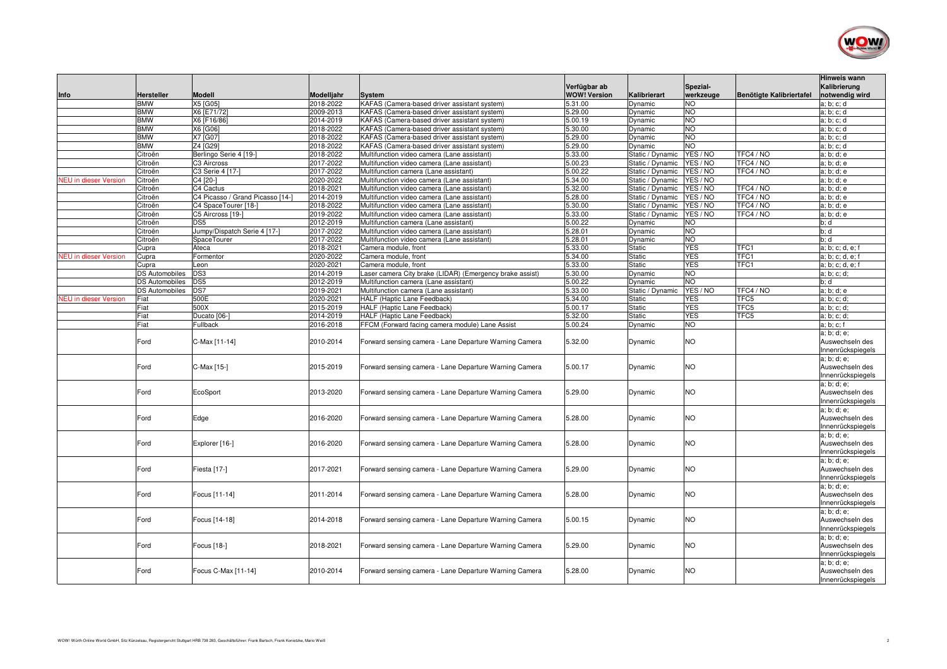

| Info                         | Hersteller            | <b>Modell</b>                         | Modelljahr             | <b>System</b>                                                                        | Verfügbar ab<br><b>WOW! Version</b> | Kalibrierart                         | Spezial-<br>werkzeuge | Benötigte Kalibriertafel | <b>Hinweis wann</b><br>Kalibrierung<br>notwendig wird |
|------------------------------|-----------------------|---------------------------------------|------------------------|--------------------------------------------------------------------------------------|-------------------------------------|--------------------------------------|-----------------------|--------------------------|-------------------------------------------------------|
|                              | <b>BMW</b>            | X5 [G05]                              | 2018-2022              | KAFAS (Camera-based driver assistant system)                                         | 5.31.00                             | Dynamic                              | <b>NO</b>             |                          | a; b; c; d                                            |
|                              | <b>BMW</b>            | X6 [E71/72]                           | 2009-2013              | KAFAS (Camera-based driver assistant system)                                         | 5.29.00                             | Dynamic                              | <b>NO</b>             |                          | a; b; c; d                                            |
|                              | <b>BMW</b>            | X6 [F16/86]                           | 2014-2019              | KAFAS (Camera-based driver assistant system)                                         | 5.00.19                             | Dynamic                              | <b>NO</b>             |                          | a; b; c; d                                            |
|                              | <b>BMW</b>            | X6 [G06]                              | 2018-2022              | KAFAS (Camera-based driver assistant system)                                         | 5.30.00                             | Dynamic                              | <b>NO</b>             |                          | a; b; c; d                                            |
|                              | <b>BMW</b>            | X7 [G07]                              | 2018-2022              | KAFAS (Camera-based driver assistant system)                                         | 5.29.00                             | Dynamic                              | <b>NO</b>             |                          | a; b; c; d                                            |
|                              | <b>BMW</b>            | Z4 [G29]                              | 2018-2022              | KAFAS (Camera-based driver assistant system)                                         | 5.29.00                             | Dynamic                              | <b>NO</b>             |                          | a; b; c; d                                            |
|                              | Citroën               | Berlingo Serie 4 [19-]<br>C3 Aircross | 2018-2022<br>2017-2022 | Multifunction video camera (Lane assistant)                                          | 5.33.00<br>5.00.23                  | Static / Dynamic                     | YES / NO<br>YES / NO  | TFC4 / NO<br>TFC4 / NO   | a; b; d; e                                            |
|                              | Citroën<br>Citroën    | C3 Serie 4 [17-]                      | 2017-2022              | Multifunction video camera (Lane assistant)<br>Multifunction camera (Lane assistant) | 5.00.22                             | Static / Dynamic<br>Static / Dynamic | YES / NO              | TFC4 / NO                | a; b; d; e<br>a; b; d; e                              |
| <b>NEU</b> in dieser Version | Citroën               | C4 [20-]                              | 2020-2022              | Multifunction video camera (Lane assistant)                                          | 5.34.00                             | Static / Dynamic                     | YES / NO              |                          | a; b; d; e                                            |
|                              | Citroën               | C4 Cactus                             | 2018-2021              | Multifunction video camera (Lane assistant)                                          | 5.32.00                             | Static / Dynamic                     | YES / NO              | TFC4 / NO                | a; b; d; e                                            |
|                              | Citroën               | C4 Picasso / Grand Picasso [14-]      | 2014-2019              | Multifunction video camera (Lane assistant)                                          | 5.28.00                             | Static / Dynamic                     | YES / NO              | TFC4 / NO                | a; b; d; e                                            |
|                              | Citroën               | C4 SpaceTourer [18-]                  | 2018-2022              | Multifunction video camera (Lane assistant)                                          | 5.30.00                             | Static / Dynamic                     | YES / NO              | TFC4 / NO                | a; b; d; e                                            |
|                              | Citroën               | C5 Aircross [19-]                     | 2019-2022              | Multifunction video camera (Lane assistant)                                          | 5.33.00                             | Static / Dynamic                     | YES / NO              | TFC4 / NO                | a; b; d; e                                            |
|                              | Citroën               | DS <sub>5</sub>                       | 2012-2019              | Multifunction camera (Lane assistant)                                                | 5.00.22                             | Dynamic                              | <b>NO</b>             |                          | b; d                                                  |
|                              | Citroën               | Jumpy/Dispatch Serie 4 [17-]          | 2017-2022              | Multifunction video camera (Lane assistant)                                          | 5.28.01                             | Dynamic                              | <b>NO</b>             |                          | b; d                                                  |
|                              | Citroën               | <b>SpaceTourer</b>                    | 2017-2022              | Multifunction video camera (Lane assistant)                                          | 5.28.01                             | Dynamic                              | <b>NO</b>             |                          | b: d                                                  |
|                              | Cupra                 | Ateca                                 | 2018-2021              | Camera module, front                                                                 | 5.33.00                             | Static                               | <b>YES</b>            | TFC1                     | a; b; c; d, e; f                                      |
| <b>NEU</b> in dieser Version | Cupra                 | Formentor                             | 2020-2022              | Camera module, front                                                                 | 5.34.00                             | <b>Static</b>                        | <b>YES</b>            | TFC1                     | a; b; c; d, e; f                                      |
|                              | Cupra                 | Leon                                  | 2020-2021              | Camera module, front                                                                 | 5.33.00                             | <b>Static</b>                        | <b>YES</b>            | TFC1                     | a; b; c; d, e; f                                      |
|                              | <b>DS Automobiles</b> | DS3                                   | 2014-2019              | Laser camera City brake (LIDAR) (Emergency brake assist)                             | 5.30.00                             | Dynamic                              | <b>NO</b>             |                          | a; b; c; d;                                           |
|                              | <b>DS Automobiles</b> | DS <sub>5</sub>                       | 2012-2019              | Multifunction camera (Lane assistant)                                                | 5.00.22                             | Dynamic                              | <b>NO</b>             |                          | b; d                                                  |
|                              | <b>DS Automobiles</b> | DS7                                   | 2019-2021              | Multifunction camera (Lane assistant)                                                | 5.33.00                             | Static / Dynamic                     | YES / NO              | TFC4 / NO                | a; b; d; e                                            |
| <b>NEU</b> in dieser Version | Fiat                  | 500E                                  | 2020-2021              | HALF (Haptic Lane Feedback)                                                          | 5.34.00                             | Static                               | YES                   | TFC5                     | a; b; c; d;                                           |
|                              | Fiat                  | 500X                                  | 2015-2019              | HALF (Haptic Lane Feedback)                                                          | 5.00.17                             | <b>Static</b>                        | <b>YES</b>            | TFC5                     | a; b; c; d;                                           |
|                              | Fiat                  | Ducato [06-]                          | 2014-2019              | HALF (Haptic Lane Feedback)                                                          | 5.32.00                             | <b>Static</b>                        | <b>YES</b>            | TFC5                     | a; b; c; d;                                           |
|                              | Fiat                  | Fullback                              | 2016-2018              | FFCM (Forward facing camera module) Lane Assist                                      | 5.00.24                             | Dynamic                              | <b>NO</b>             |                          | a; b; c; f                                            |
|                              | Ford                  | C-Max [11-14]                         | 2010-2014              | Forward sensing camera - Lane Departure Warning Camera                               | 5.32.00                             | Dynamic                              | <b>NO</b>             |                          | a; b; d; e;<br>Auswechseln des<br>Innenrückspiegels   |
|                              | Ford                  | C-Max [15-]                           | 2015-2019              | Forward sensing camera - Lane Departure Warning Camera                               | 5.00.17                             | Dynamic                              | <b>NO</b>             |                          | a; b; d; e;<br>Auswechseln des<br>Innenrückspiegels   |
|                              | Ford                  | EcoSport                              | 2013-2020              | Forward sensing camera - Lane Departure Warning Camera                               | 5.29.00                             | Dynamic                              | <b>NO</b>             |                          | a; b; d; e;<br>Auswechseln des<br>Innenrückspiegels   |
|                              | Ford                  | Edge                                  | 2016-2020              | Forward sensing camera - Lane Departure Warning Camera                               | 5.28.00                             | Dynamic                              | <b>NO</b>             |                          | a; b; d; e;<br>Auswechseln des<br>Innenrückspiegels   |
|                              | Ford                  | Explorer [16-]                        | 2016-2020              | Forward sensing camera - Lane Departure Warning Camera                               | 5.28.00                             | Dynamic                              | <b>NO</b>             |                          | a; b; d; e;<br>Auswechseln des<br>Innenrückspiegels   |
|                              | Ford                  | Fiesta [17-]                          | 2017-2021              | Forward sensing camera - Lane Departure Warning Camera                               | 5.29.00                             | Dynamic                              | N <sub>O</sub>        |                          | a; b; d; e;<br>Auswechseln des<br>Innenrückspiegels   |
|                              | Ford                  | Focus [11-14]                         | 2011-2014              | Forward sensing camera - Lane Departure Warning Camera                               | 5.28.00                             | Dynamic                              | <b>NO</b>             |                          | a; b; d; e;<br>Auswechseln des<br>Innenrückspiegels   |
|                              | Ford                  | Focus [14-18]                         | 2014-2018              | Forward sensing camera - Lane Departure Warning Camera                               | 5.00.15                             | Dynamic                              | <b>NO</b>             |                          | a; b; d; e;<br>Auswechseln des<br>Innenrückspiegels   |
|                              | Ford                  | Focus [18-]                           | 2018-2021              | Forward sensing camera - Lane Departure Warning Camera                               | 5.29.00                             | Dynamic                              | <b>NO</b>             |                          | a; b; d; e;<br>Auswechseln des<br>Innenrückspiegels   |
|                              | Ford                  | Focus C-Max [11-14]                   | 2010-2014              | Forward sensing camera - Lane Departure Warning Camera                               | 5.28.00                             | Dynamic                              | <b>NO</b>             |                          | a; b; d; e;<br>Auswechseln des<br>Innenrückspiegels   |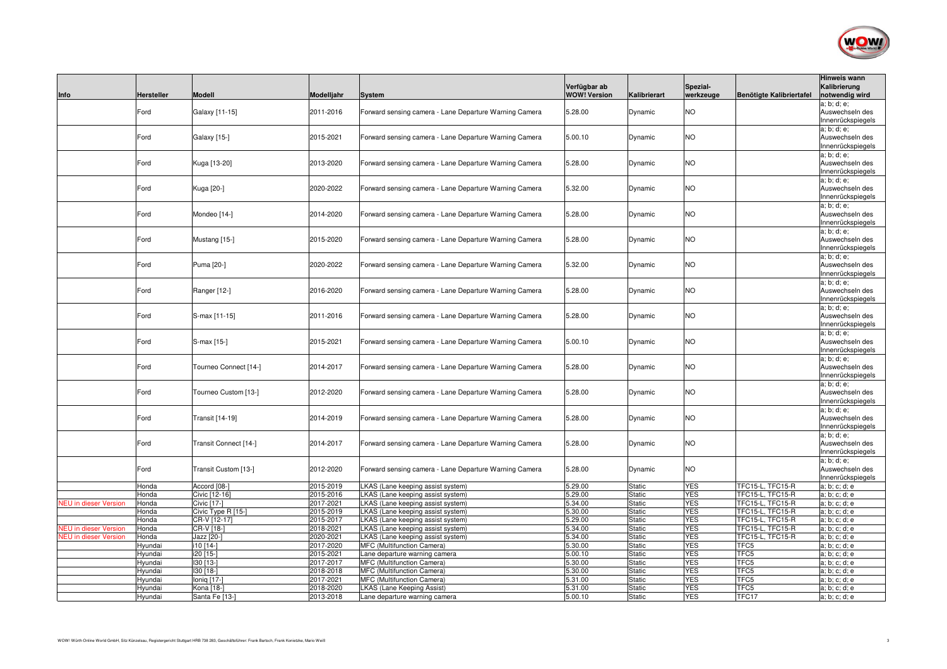

| Info                         | <b>Hersteller</b>  | <b>Modell</b>          | Modelljahr             | <b>System</b>                                               | Verfügbar ab<br><b>WOW! Version</b> | Kalibrierart                   | Spezial-<br>werkzeuge    | Benötigte Kalibriertafel | <b>Hinweis wann</b><br>Kalibrierung<br>notwendig wird |
|------------------------------|--------------------|------------------------|------------------------|-------------------------------------------------------------|-------------------------------------|--------------------------------|--------------------------|--------------------------|-------------------------------------------------------|
|                              | Ford               | Galaxy [11-15]         | 2011-2016              | Forward sensing camera - Lane Departure Warning Camera      | 5.28.00                             | Dynamic                        | <b>NO</b>                |                          | a; b; d; e;<br>Auswechseln des<br>Innenrückspiegels   |
|                              | Ford               | Galaxy [15-]           | 2015-2021              | Forward sensing camera - Lane Departure Warning Camera      | 5.00.10                             | Dynamic                        | <b>NO</b>                |                          | a; b; d; e;<br>Auswechseln des<br>Innenrückspiegels   |
|                              | Ford               | Kuga [13-20]           | 2013-2020              | Forward sensing camera - Lane Departure Warning Camera      | 5.28.00                             | Dynamic                        | <b>NO</b>                |                          | a; b; d; e;<br>Auswechseln des<br>Innenrückspiegels   |
|                              | Ford               | Kuga [20-]             | 2020-2022              | Forward sensing camera - Lane Departure Warning Camera      | 5.32.00                             | Dynamic                        | <b>NO</b>                |                          | a; b; d; e;<br>Auswechseln des<br>Innenrückspiegels   |
|                              | Ford               | Mondeo [14-]           | 2014-2020              | Forward sensing camera - Lane Departure Warning Camera      | 5.28.00                             | Dynamic                        | <b>NO</b>                |                          | a; b; d; e;<br>Auswechseln des<br>Innenrückspiegels   |
|                              | Ford               | Mustang [15-]          | 2015-2020              | Forward sensing camera - Lane Departure Warning Camera      | 5.28.00                             | Dynamic                        | <b>NO</b>                |                          | a; b; d; e;<br>Auswechseln des<br>Innenrückspiegels   |
|                              | Ford               | Puma [20-]             | 2020-2022              | Forward sensing camera - Lane Departure Warning Camera      | 5.32.00                             | Dynamic                        | <b>NO</b>                |                          | a; b; d; e;<br>Auswechseln des<br>Innenrückspiegels   |
|                              | Ford               | Ranger [12-]           | 2016-2020              | Forward sensing camera - Lane Departure Warning Camera      | 5.28.00                             | Dynamic                        | <b>NO</b>                |                          | a; b; d; e;<br>Auswechseln des<br>Innenrückspiegels   |
|                              | Ford               | S-max [11-15]          | 2011-2016              | Forward sensing camera - Lane Departure Warning Camera      | 5.28.00                             | Dynamic                        | NO.                      |                          | a; b; d; e;<br>Auswechseln des<br>Innenrückspiegels   |
|                              | Ford               | S-max [15-]            | 2015-2021              | Forward sensing camera - Lane Departure Warning Camera      | 5.00.10                             | Dynamic                        | <b>NO</b>                |                          | a; b; d; e;<br>Auswechseln des<br>Innenrückspiegels   |
|                              | Ford               | Tourneo Connect [14-]  | 2014-2017              | Forward sensing camera - Lane Departure Warning Camera      | 5.28.00                             | Dynamic                        | <b>NO</b>                |                          | a; b; d; e;<br>Auswechseln des<br>Innenrückspiegels   |
|                              | Ford               | Tourneo Custom [13-]   | 2012-2020              | Forward sensing camera - Lane Departure Warning Camera      | 5.28.00                             | Dynamic                        | <b>NO</b>                |                          | a; b; d; e;<br>Auswechseln des<br>Innenrückspiegels   |
|                              | Ford               | Transit [14-19]        | 2014-2019              | Forward sensing camera - Lane Departure Warning Camera      | 5.28.00                             | Dynamic                        | <b>NO</b>                |                          | a: b: d: e:<br>Auswechseln des<br>Innenrückspiegels   |
|                              | Ford               | Transit Connect [14-]  | 2014-2017              | Forward sensing camera - Lane Departure Warning Camera      | 5.28.00                             | Dynamic                        | <b>NO</b>                |                          | a; b; d; e;<br>Auswechseln des<br>Innenrückspiegels   |
|                              | Ford               | Transit Custom [13-]   | 2012-2020              | Forward sensing camera - Lane Departure Warning Camera      | 5.28.00                             | Dynamic                        | <b>NO</b>                |                          | a; b; d; e;<br>Auswechseln des<br>Innenrückspiegels   |
|                              | Honda              | Accord [08-]           | 2015-2019              | KAS (Lane keeping assist system)                            | 5.29.00                             | Static                         | <b>YES</b>               | TFC15-L, TFC15-R         | a; b; c; d; e                                         |
|                              | Honda              | Civic [12-16]          | 2015-2016              | LKAS (Lane keeping assist system)                           | 5.29.00                             | <b>Static</b>                  | <b>YES</b>               | TFC15-L, TFC15-R         | a; b; c; d; e                                         |
| <b>JEU</b> in dieser Version | Honda              | Civic [17-]            | 2017-2021              | <b>KAS</b> (Lane keeping assist system)                     | 5.34.00                             | Static                         | <b>YES</b>               | TFC15-L, TFC15-R         | a; b; c; d; e                                         |
|                              | Honda              | Civic Type R [15-]     | 2015-2019              | <b>KAS</b> (Lane keeping assist system)                     | 5.30.00                             | Static                         | <b>YES</b>               | TFC15-L, TFC15-R         | a; b; c; d; e                                         |
|                              | Honda              | CR-V [12-17]           | 2015-2017              | <b>KAS</b> (Lane keeping assist system)                     | 5.29.00                             | Static                         | <b>YES</b>               | TFC15-L, TFC15-R         | a; b; c; d; e                                         |
| <b>NEU</b> in dieser Version | Honda              | CR-V [18-]             | 2018-2021              | <b>KAS</b> (Lane keeping assist system)                     | 5.34.00                             | Static                         | <b>YES</b>               | TFC15-L, TFC15-R         | a; b; c; d; e                                         |
| <b>NEU</b> in dieser Version | Honda              | Jazz [20-]             | 2020-2021              | KAS (Lane keeping assist system)                            | 5.34.00                             | <b>Static</b>                  | <b>YES</b>               | TFC15-L, TFC15-R         | a; b; c; d; e                                         |
|                              | Hyundai            | i10 [14-]              | 2017-2020<br>2015-2021 | MFC (Multifunction Camera)                                  | 5.30.00<br>5.00.10                  | Static                         | <b>YES</b><br><b>YES</b> | TFC5<br>TFC5             | a; b; c; d; e                                         |
|                              | Hyundai<br>Hyundai | i20 [15-]<br>130 [13-] | 2017-2017              | Lane departure warning camera<br>MFC (Multifunction Camera) | 5.30.00                             | <b>Static</b><br><b>Static</b> | <b>YES</b>               | TFC5                     | a; b; c; d; e<br>a; b; c; d; e                        |
|                              | Hyundai            | 130 [18-]              | 2018-2018              | MFC (Multifunction Camera)                                  | 5.30.00                             | <b>Static</b>                  | <b>YES</b>               | TFC5                     | a; b; c; d; e                                         |
|                              | Hyundai            | lonig [17-1            | 2017-2021              | MFC (Multifunction Camera)                                  | 5.31.00                             | <b>Static</b>                  | <b>YES</b>               | TFC5                     | a: b: c: d: e                                         |
|                              | Hyundai            | Kona [18-]             | 2018-2020              | <b>LKAS (Lane Keeping Assist)</b>                           | 5.31.00                             | <b>Static</b>                  | <b>YES</b>               | TFC5                     | a; b; c; d; e                                         |
|                              | Hyundai            | Santa Fe [13-]         | 2013-2018              | Lane departure warning camera                               | 5.00.10                             | <b>Static</b>                  | <b>YES</b>               | TFC17                    | a; b; c; d; e                                         |
|                              |                    |                        |                        |                                                             |                                     |                                |                          |                          |                                                       |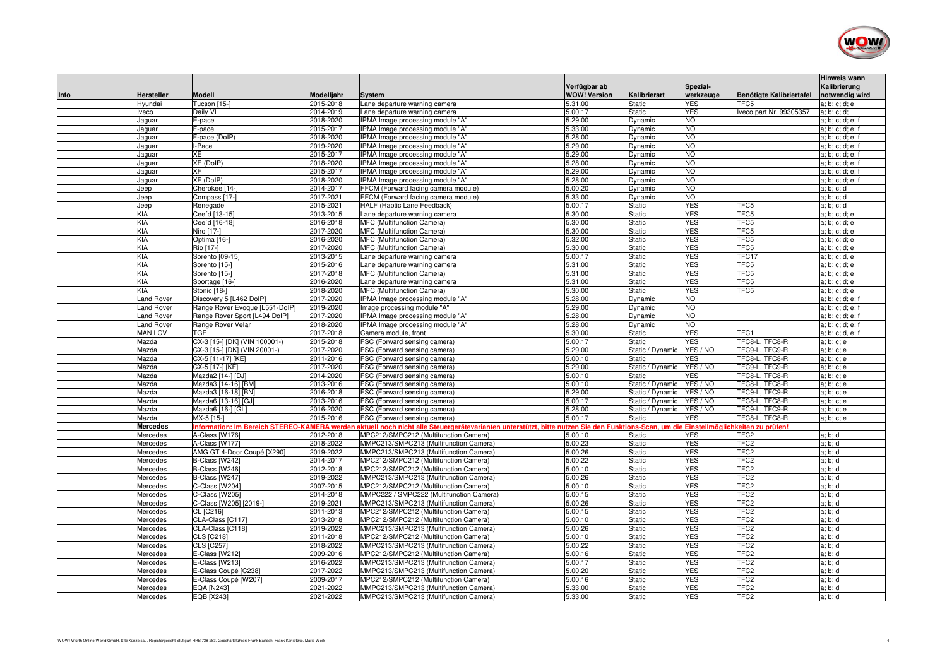

| Info | Hersteller           | <b>Modell</b>                             | Modelljahr | <b>System</b>                                                                                                                             | Verfügbar ab<br><b>WOW! Version</b> | Kalibrierart     | Spezial-<br>werkzeuge | Benötigte Kalibriertafel | <b>Hinweis wann</b><br>Kalibrierung<br>notwendig wird |
|------|----------------------|-------------------------------------------|------------|-------------------------------------------------------------------------------------------------------------------------------------------|-------------------------------------|------------------|-----------------------|--------------------------|-------------------------------------------------------|
|      | Hyundai              | Tucson [15-]                              | 2015-2018  | Lane departure warning camera                                                                                                             | 5.31.00                             | <b>Static</b>    | <b>YES</b>            | TFC5                     | a; b; c; d; e                                         |
|      | Iveco                | Daily VI                                  | 2014-2019  | Lane departure warning camera                                                                                                             | 5.00.17                             | <b>Static</b>    | <b>YES</b>            | Iveco part Nr. 99305357  | a; b; c; d;                                           |
|      | Jaguar               | E-pace                                    | 2018-2020  | IPMA Image processing module "A"                                                                                                          | 5.29.00                             | Dynamic          | <b>NO</b>             |                          | a; b; c; d; e; f                                      |
|      | Jaguar               | F-pace                                    | 2015-2017  | IPMA Image processing module "A"                                                                                                          | 5.33.00                             | Dynamic          | <b>NO</b>             |                          | a; b; c; d; e; f                                      |
|      | Jaguar               | F-pace (DoIP)                             | 2018-2020  | IPMA Image processing module "A"                                                                                                          | 5.28.00                             | Dynamic          | <b>NO</b>             |                          | a; b; c; d; e; f                                      |
|      | Jaguar               | I-Pace                                    | 2019-2020  | IPMA Image processing module "A"                                                                                                          | 5.29.00                             | Dynamic          | <b>NO</b>             |                          | a; b; c; d; e; f                                      |
|      | Jaquar               | XE                                        | 2015-2017  | IPMA Image processing module "A"                                                                                                          | 5.29.00                             | Dynamic          | <b>NO</b>             |                          | a; b; c; d; e; f                                      |
|      | Jaguar               | XE (DoIP)                                 | 2018-2020  | IPMA Image processing module "A"                                                                                                          | 5.28.00                             | Dynamic          | <b>NO</b>             |                          | a; b; c; d; e; f                                      |
|      | Jaguar               | <b>XF</b>                                 | 2015-2017  | IPMA Image processing module "A"                                                                                                          | 5.29.00                             | Dynamic          | <b>NO</b>             |                          | a; b; c; d; e; f                                      |
|      | Jaguar               | XF (DoIP)                                 | 2018-2020  | IPMA Image processing module "A"                                                                                                          | 5.28.00                             | Dynamic          | N <sub>O</sub>        |                          | a; b; c; d; e; f                                      |
|      | Jeep                 | Cherokee [14-                             | 2014-2017  | FFCM (Forward facing camera module)                                                                                                       | 5.00.20                             | Dynamic          | <b>NO</b>             |                          | a; b; c; d                                            |
|      | Jeep                 | Compass [17-]                             | 2017-2021  | FFCM (Forward facing camera module)                                                                                                       | 5.33.00                             | Dynamic          | <b>NO</b>             |                          | a; b; c; d                                            |
|      | Jeep                 | Renegade                                  | 2015-2021  | <b>HALF (Haptic Lane Feedback)</b>                                                                                                        | 5.00.17                             | <b>Static</b>    | <b>YES</b>            | TFC5                     | a; b; c; d                                            |
|      | KIA                  | Cee'd [13-15]                             | 2013-2015  | Lane departure warning camera                                                                                                             | 5.30.00                             | <b>Static</b>    | <b>YES</b>            | TFC5                     | a; b; c; d; e                                         |
|      | KIA                  | Cee'd [16-18]                             | 2016-2018  | MFC (Multifunction Camera)                                                                                                                | 5.30.00                             | Static           | <b>YES</b>            | TFC5                     | a; b; c; d; e                                         |
|      | KIA                  | Niro [17-]                                | 2017-2020  | MFC (Multifunction Camera)                                                                                                                | 5.30.00                             | Static           | <b>YES</b>            | TFC5                     | a; b; c; d; e                                         |
|      | KIA                  | Optima [16-]                              | 2016-2020  | MFC (Multifunction Camera)                                                                                                                | 5.32.00                             | <b>Static</b>    | <b>YES</b>            | TFC5                     | a; b; c; d; e                                         |
|      | KIA                  | Rio [17-]                                 | 2017-2020  | MFC (Multifunction Camera)                                                                                                                | 5.30.00                             | <b>Static</b>    | <b>YES</b>            | TFC5                     | a; b; c; d; e                                         |
|      | <b>KIA</b>           | Sorento [09-15]                           | 2013-2015  | Lane departure warning camera                                                                                                             | 5.00.17                             | <b>Static</b>    | <b>YES</b>            | TFC17                    | a; b; c; d, e                                         |
|      | KIA                  | Sorento [15-]                             | 2015-2016  | Lane departure warning camera                                                                                                             | 5.31.00                             | <b>Static</b>    | <b>YES</b>            | TFC5                     | a; b; c; d; e                                         |
|      | <b>KIA</b>           | Sorento [15-]                             | 2017-2018  | MFC (Multifunction Camera)                                                                                                                | 5.31.00                             | <b>Static</b>    | <b>YES</b>            | TFC5                     | a; b; c; d; e                                         |
|      | <b>KIA</b>           | Sportage [16-]                            | 2016-2020  | Lane departure warning camera                                                                                                             | 5.31.00                             | <b>Static</b>    | <b>YES</b>            | TFC5                     | a; b; c; d; e                                         |
|      | KIA                  | Stonic [18-]                              | 2018-2020  | MFC (Multifunction Camera)                                                                                                                | 5.30.00                             | <b>Static</b>    | <b>YES</b>            | TFC5                     | a: b: c: d: e                                         |
|      | Land Rover           | Discovery 5 [L462 DoIP]                   | 2017-2020  | IPMA Image processing module "A"                                                                                                          | 5.28.00                             | Dynamic          | <b>NO</b>             |                          | a; b; c; d; e; f                                      |
|      | Land Rover           | Range Rover Evoque [L551-DolP]            | 2019-2020  | Image processing module "A"                                                                                                               | 5.29.00                             | Dynamic          | <b>NO</b>             |                          | a; b; c; d; e; f                                      |
|      | Land Rover           | Range Rover Sport [L494 DolP]             | 2017-2020  | IPMA Image processing module "A"                                                                                                          | 5.28.00                             | Dynamic          | <b>NO</b>             |                          | a; b; c; d; e; f                                      |
|      | <b>Land Rover</b>    | Range Rover Velar                         | 2018-2020  | IPMA Image processing module "A"                                                                                                          | 5.28.00                             | Dynamic          | <b>NO</b>             |                          | a; b; c; d; e; f                                      |
|      | <b>MAN LCV</b>       | <b>TGE</b>                                | 2017-2018  | Camera module, front                                                                                                                      | 5.30.00                             | <b>Static</b>    | <b>YES</b>            | TFC1                     | a; b; c; d, e; f                                      |
|      | Mazda                | CX-3 [15-] [DK] (VIN 100001-)             | 2015-2018  | FSC (Forward sensing camera)                                                                                                              | 5.00.17                             | <b>Static</b>    | <b>YES</b>            | TFC8-L, TFC8-R           | a; b; c; e                                            |
|      | Mazda                | CX-3 [15-] [DK] (VIN 20001-)              | 2017-2020  | FSC (Forward sensing camera)                                                                                                              | 5.29.00                             | Static / Dynamic | YES / NO              | TFC9-L, TFC9-R           | a; b; c; e                                            |
|      | Mazda                | CX-5 [11-17] [KE]                         | 2011-2016  | FSC (Forward sensing camera)                                                                                                              | 5.00.10                             | <b>Static</b>    | YES                   | TFC8-L, TFC8-R           | a; b; c; e                                            |
|      | Mazda                | CX-5 [17-] [KF]                           | 2017-2020  | FSC (Forward sensing camera)                                                                                                              | 5.29.00                             | Static / Dynamic | YES / NO              | TFC9-L, TFC9-R           | a; b; c; e                                            |
|      | Mazda                | Mazda2 [14-] [DJ]                         | 2014-2020  | FSC (Forward sensing camera)                                                                                                              | 5.00.10                             | <b>Static</b>    | <b>YES</b>            | TFC8-L, TFC8-R           | a; b; c; e                                            |
|      | Mazda                | Mazda3 [14-16] [BM]                       | 2013-2016  | FSC (Forward sensing camera)                                                                                                              | 5.00.10                             | Static / Dynamic | YES / NO              | TFC8-L, TFC8-R           | a; b; c; e                                            |
|      | Mazda                | Mazda3 [16-18] [BN]                       | 2016-2018  | FSC (Forward sensing camera)                                                                                                              | 5.29.00                             | Static / Dynamic | YES / NO              | TFC9-L, TFC9-R           | a; b; c; e                                            |
|      | Mazda                | Mazda6 [13-16] [GJ]                       | 2013-2016  | FSC (Forward sensing camera)                                                                                                              | 5.00.17                             | Static / Dynamic | YES / NO              | TFC8-L. TFC8-R           | a; b; c; e                                            |
|      | Mazda                | Mazda6 [16-] [GL]                         | 2016-2020  | FSC (Forward sensing camera)                                                                                                              | 5.28.00                             | Static / Dynamic | YES / NO              | TFC9-L, TFC9-R           | a; b; c; e                                            |
|      | Mazda                | MX-5 [15-]                                | 2015-2016  | FSC (Forward sensing camera)                                                                                                              | 5.00.17                             | <b>Static</b>    | <b>YES</b>            | TFC8-L, TFC8-R           | a; b; c; e                                            |
|      | <b>Mercedes</b>      | nformation: Im Bereich STEREO-KAMERA werd |            | i aktuell noch nicht alle Steuergerätevarianten unterstützt, bitte nutzen Sie den Funktions-Scan, um die Einstellmöglichkeiten zu prüfen! |                                     |                  |                       |                          |                                                       |
|      | Mercedes             | A-Class [W176]                            | 2012-2018  | MPC212/SMPC212 (Multifunction Camera)                                                                                                     | 5.00.10                             | <b>Static</b>    | <b>YES</b>            | TFC <sub>2</sub>         | a; b; d                                               |
|      | Mercedes             | A-Class [W177]                            | 2018-2022  | MMPC213/SMPC213 (Multifunction Camera)                                                                                                    | 5.00.23                             | <b>Static</b>    | <b>YES</b>            | TFC <sub>2</sub>         | a; b; d                                               |
|      | Mercedes             | AMG GT 4-Door Coupé [X290]                | 2019-2022  | MMPC213/SMPC213 (Multifunction Camera)                                                                                                    | 5.00.26                             | <b>Static</b>    | <b>YES</b>            | TFC <sub>2</sub>         | a: b: d                                               |
|      | Mercedes             | B-Class [W242]                            | 2014-2017  | MPC212/SMPC212 (Multifunction Camera)                                                                                                     | 5.00.22                             | <b>Static</b>    | <b>YES</b>            | TFC <sub>2</sub>         | a; b; d                                               |
|      | Mercedes             | B-Class [W246]                            | 2012-2018  | MPC212/SMPC212 (Multifunction Camera)                                                                                                     | 5.00.10                             | <b>Static</b>    | <b>YES</b>            | TFC <sub>2</sub>         | a; b; d                                               |
|      | Mercedes             | B-Class [W247]                            | 2019-2022  | MMPC213/SMPC213 (Multifunction Camera)                                                                                                    | 5.00.26                             | <b>Static</b>    | <b>YES</b>            | TFC <sub>2</sub>         | a; b; d                                               |
|      | Mercedes             | C-Class [W204]                            | 2007-2015  | MPC212/SMPC212 (Multifunction Camera)                                                                                                     | 5.00.10                             | <b>Static</b>    | <b>YES</b>            | TFC <sub>2</sub>         | a; b; d                                               |
|      | Mercedes             | C-Class [W205]                            | 2014-2018  | MMPC222 / SMPC222 (Multifunction Camera)                                                                                                  | 5.00.15                             | Static           | <b>YES</b>            | TFC <sub>2</sub>         | a; b; d                                               |
|      | Mercedes             | C-Class [W205] [2019-]                    | 2019-2021  | MMPC213/SMPC213 (Multifunction Camera)                                                                                                    | 5.00.26                             | <b>Static</b>    | <b>YES</b>            | TFC <sub>2</sub>         | a; b; d                                               |
|      | Mercedes             | CL [C216]                                 | 2011-2013  | MPC212/SMPC212 (Multifunction Camera)                                                                                                     | 5.00.15                             | Static           | <b>YES</b>            | TFC <sub>2</sub>         | a; b; d                                               |
|      |                      | CLA-Class [C117]                          | 2013-2018  | MPC212/SMPC212 (Multifunction Camera)                                                                                                     | 5.00.10                             | Static           | <b>YES</b>            | TFC <sub>2</sub>         | a; b; d                                               |
|      | Mercedes<br>Mercedes | CLA-Class [C118]                          | 2019-2022  | MMPC213/SMPC213 (Multifunction Camera)                                                                                                    | 5.00.26                             | Static           | <b>YES</b>            | TFC <sub>2</sub>         | a; b; d                                               |
|      | Mercedes             | <b>CLS [C218]</b>                         | 2011-2018  | MPC212/SMPC212 (Multifunction Camera)                                                                                                     | 5.00.10                             | Static           | <b>YES</b>            | TFC <sub>2</sub>         | a; b; d                                               |
|      | Mercedes             | <b>CLS [C257]</b>                         | 2018-2022  | MMPC213/SMPC213 (Multifunction Camera)                                                                                                    | 5.00.22                             | <b>Static</b>    | <b>YES</b>            | TFC <sub>2</sub>         | a; b; d                                               |
|      | Mercedes             | E-Class [W212]                            | 2009-2016  | MPC212/SMPC212 (Multifunction Camera)                                                                                                     | 5.00.16                             | <b>Static</b>    | <b>YES</b>            | TFC <sub>2</sub>         | a; b; d                                               |
|      | Mercedes             | E-Class [W213]                            | 2016-2022  | MMPC213/SMPC213 (Multifunction Camera)                                                                                                    | 5.00.17                             | <b>Static</b>    | <b>YES</b>            | TFC <sub>2</sub>         | a; b; d                                               |
|      |                      |                                           | 2017-2022  | MMPC213/SMPC213 (Multifunction Camera)                                                                                                    | 5.00.20                             | <b>Static</b>    | <b>YES</b>            | TFC <sub>2</sub>         | a; b; d                                               |
|      | Mercedes<br>Mercedes | E-Class Coupé [C238]                      | 2009-2017  | MPC212/SMPC212 (Multifunction Camera)                                                                                                     | 5.00.16                             | <b>Static</b>    | <b>YES</b>            | TFC <sub>2</sub>         | a; b; d                                               |
|      |                      | E-Class Coupé [W207]<br><b>EQA [N243]</b> | 2021-2022  | MMPC213/SMPC213 (Multifunction Camera)                                                                                                    | 5.33.00                             | <b>Static</b>    | <b>YES</b>            | TFC <sub>2</sub>         | a:b:d                                                 |
|      | Mercedes<br>Mercedes | <b>EQB [X243]</b>                         | 2021-2022  | MMPC213/SMPC213 (Multifunction Camera)                                                                                                    | 5.33.00                             | <b>Static</b>    | <b>YES</b>            | TFC <sub>2</sub>         | a; b; d                                               |
|      |                      |                                           |            |                                                                                                                                           |                                     |                  |                       |                          |                                                       |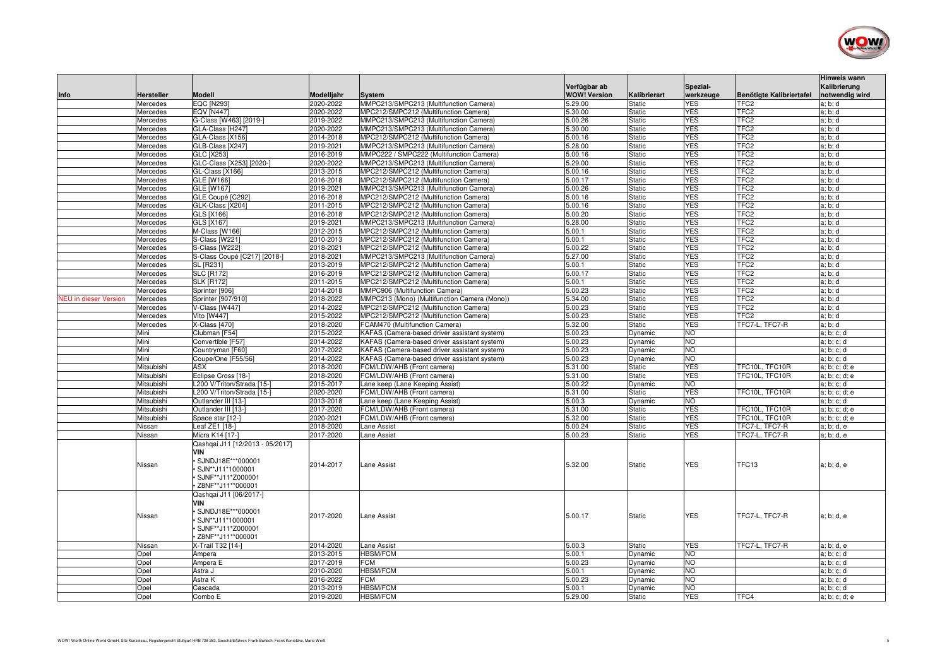

| Info                         | Hersteller           | <b>Modell</b>                                                                                                             | Modelljahr             | <b>System</b>                                                                  | Verfügbar ab<br><b>WOW! Version</b> | Kalibrierart                   | Spezial-<br>werkzeuge    | Benötigte Kalibriertafel             | <b>Hinweis wann</b><br>Kalibrierung<br>notwendig wird |
|------------------------------|----------------------|---------------------------------------------------------------------------------------------------------------------------|------------------------|--------------------------------------------------------------------------------|-------------------------------------|--------------------------------|--------------------------|--------------------------------------|-------------------------------------------------------|
|                              | Mercedes             | <b>EQC [N293]</b>                                                                                                         | 2020-2022              | MMPC213/SMPC213 (Multifunction Camera)                                         | 5.29.00                             | <b>Static</b>                  | <b>YES</b>               | TFC <sub>2</sub>                     | a; b; d                                               |
|                              | Mercedes             | <b>EQV [N447]</b>                                                                                                         | 2020-2022              | MPC212/SMPC212 (Multifunction Camera)                                          | 5.30.00                             | Static                         | <b>YES</b>               | TFC <sub>2</sub>                     | a; b; d                                               |
|                              | Mercedes             | G-Class [W463] [2019-]                                                                                                    | 2019-2022              | MMPC213/SMPC213 (Multifunction Camera)                                         | 5.00.26                             | <b>Static</b>                  | <b>YES</b>               | TFC <sub>2</sub>                     | a; b; d                                               |
|                              | Mercedes             | GLA-Class [H247]                                                                                                          | 2020-2022              | MMPC213/SMPC213 (Multifunction Camera)                                         | 5.30.00                             | <b>Static</b>                  | <b>YES</b>               | TFC <sub>2</sub>                     | a; b; d                                               |
|                              | Mercedes             | GLA-Class [X156]                                                                                                          | 2014-2018              | MPC212/SMPC212 (Multifunction Camera)                                          | 5.00.16                             | <b>Static</b>                  | <b>YES</b>               | TFC <sub>2</sub>                     | a; b; d                                               |
|                              | Mercedes             | GLB-Class [X247]                                                                                                          | 2019-2021              | MMPC213/SMPC213 (Multifunction Camera)                                         | 5.28.00                             | <b>Static</b>                  | <b>YES</b>               | TFC <sub>2</sub>                     | a; b; d                                               |
|                              | Mercedes             | GLC [X253]                                                                                                                | 2016-2019              | MMPC222 / SMPC222 (Multifunction Camera)                                       | 5.00.16                             | Static                         | <b>YES</b>               | TFC <sub>2</sub>                     | a; b; d                                               |
|                              | Mercedes             | GLC-Class [X253] [2020-]                                                                                                  | 2020-2022              | MMPC213/SMPC213 (Multifunction Camera)                                         | 5.29.00                             | <b>Static</b>                  | <b>YES</b>               | TFC <sub>2</sub>                     | a; b; d                                               |
|                              | Mercedes             | GL-Class [X166]                                                                                                           | 2013-2015              | MPC212/SMPC212 (Multifunction Camera)                                          | 5.00.16                             | <b>Static</b>                  | <b>YES</b>               | TFC <sub>2</sub>                     | a; b; d                                               |
|                              | Mercedes             | <b>GLE [W166]</b>                                                                                                         | 2016-2018              | MPC212/SMPC212 (Multifunction Camera)                                          | 5.00.17                             | <b>Static</b>                  | <b>YES</b>               | TFC <sub>2</sub>                     | a; b; d                                               |
|                              | Mercedes             | GLE [W167]                                                                                                                | 2019-2021              | MMPC213/SMPC213 (Multifunction Camera)                                         | 5.00.26                             | Static                         | <b>YES</b>               | TFC <sub>2</sub>                     | a; b; d                                               |
|                              | Mercedes             | GLE Coupé [C292]                                                                                                          | 2016-2018              | MPC212/SMPC212 (Multifunction Camera)                                          | 5.00.16                             | <b>Static</b>                  | <b>YES</b>               | TFC <sub>2</sub>                     | a; b; d                                               |
|                              | Mercedes             | GLK-Class [X204]                                                                                                          | 2011-2015              | MPC212/SMPC212 (Multifunction Camera)                                          | 5.00.16                             | Static                         | <b>YES</b>               | TFC <sub>2</sub>                     | a; b; d                                               |
|                              | Mercedes             | GLS [X166]                                                                                                                | 2016-2018              | MPC212/SMPC212 (Multifunction Camera)                                          | 5.00.20                             | <b>Static</b>                  | <b>YES</b>               | TFC <sub>2</sub>                     | a; b; d                                               |
|                              | Mercedes             | GLS [X167]                                                                                                                | 2019-2021              | MMPC213/SMPC213 (Multifunction Camera)                                         | 5.28.00                             | <b>Static</b>                  | <b>YES</b>               | TFC <sub>2</sub>                     | a; b; d                                               |
|                              | Mercedes             | M-Class [W166]<br>S-Class [W221                                                                                           | 2012-2015<br>2010-2013 | MPC212/SMPC212 (Multifunction Camera)<br>MPC212/SMPC212 (Multifunction Camera) | 5.00.1<br>5.00.1                    | Static                         | <b>YES</b><br><b>YES</b> | TFC <sub>2</sub><br>TFC <sub>2</sub> | a; b; d                                               |
|                              | Mercedes<br>Mercedes | S-Class [W222]                                                                                                            | 2018-2021              | MPC212/SMPC212 (Multifunction Camera)                                          | 5.00.22                             | <b>Static</b><br><b>Static</b> | <b>YES</b>               | TFC <sub>2</sub>                     | a; b; d<br>a; b; d                                    |
|                              | Mercedes             | S-Class Coupé [C217] [2018-]                                                                                              | 2018-2021              | MMPC213/SMPC213 (Multifunction Camera)                                         | 5.27.00                             | Static                         | <b>YES</b>               | TFC <sub>2</sub>                     | a; b; d                                               |
|                              | Mercedes             | <b>SL [R231]</b>                                                                                                          | 2013-2019              | MPC212/SMPC212 (Multifunction Camera)                                          | 5.00.1                              | <b>Static</b>                  | <b>YES</b>               | TFC <sub>2</sub>                     | a; b; d                                               |
|                              | Mercedes             | <b>SLC [R172]</b>                                                                                                         | 2016-2019              | MPC212/SMPC212 (Multifunction Camera)                                          | 5.00.17                             | Static                         | <b>YES</b>               | TFC <sub>2</sub>                     | a; b; d                                               |
|                              | Mercedes             | <b>SLK [R172]</b>                                                                                                         | 2011-2015              | MPC212/SMPC212 (Multifunction Camera)                                          | 5.00.1                              | <b>Static</b>                  | <b>YES</b>               | TFC <sub>2</sub>                     | a; b; d                                               |
|                              | Mercedes             | Sprinter [906]                                                                                                            | 2014-2018              | MMPC906 (Multifunction Camera)                                                 | 5.00.23                             | <b>Static</b>                  | <b>YES</b>               | TFC <sub>2</sub>                     | a; b; d                                               |
| <b>NEU</b> in dieser Version | Mercedes             | Sprinter [907/910]                                                                                                        | 2018-2022              | MMPC213 (Mono) (Multifunction Camera (Mono))                                   | 5.34.00                             | Static                         | <b>YES</b>               | TFC <sub>2</sub>                     | a; b; d                                               |
|                              | Mercedes             | V-Class [W447]                                                                                                            | 2014-2022              | MPC212/SMPC212 (Multifunction Camera)                                          | 5.00.23                             | <b>Static</b>                  | <b>YES</b>               | TFC <sub>2</sub>                     | a; b; d                                               |
|                              | Mercedes             | Vito [W447]                                                                                                               | 2015-2022              | MPC212/SMPC212 (Multifunction Camera)                                          | 5.00.23                             | Static                         | <b>YES</b>               | TFC <sub>2</sub>                     | a; b; d                                               |
|                              | Mercedes             | X-Class [470]                                                                                                             | 2018-2020              | FCAM470 (Multifunction Camera)                                                 | 5.32.00                             | <b>Static</b>                  | <b>YES</b>               | TFC7-L, TFC7-R                       | a; b; d                                               |
|                              | Mini                 | Clubman [F54]                                                                                                             | 2015-2022              | KAFAS (Camera-based driver assistant system)                                   | 5.00.23                             | Dynamic                        | <b>NO</b>                |                                      | a; b; c; d                                            |
|                              | Mini                 | Convertible [F57]                                                                                                         | 2014-2022              | KAFAS (Camera-based driver assistant system)                                   | 5.00.23                             | Dynamic                        | NO                       |                                      | a; b; c; d                                            |
|                              | Mini                 | Countryman [F60]                                                                                                          | 2017-2022              | KAFAS (Camera-based driver assistant system)                                   | 5.00.23                             | Dynamic                        | <b>NO</b>                |                                      | a; b; c; d                                            |
|                              | Mini                 | Coupe/One [F55/56]                                                                                                        | 2014-2022              | KAFAS (Camera-based driver assistant system)                                   | 5.00.23                             | Dynamic                        | <b>NO</b>                |                                      | a; b; c; d                                            |
|                              | Mitsubishi           | <b>ASX</b>                                                                                                                | 2018-2020              | FCM/LDW/AHB (Front camera)                                                     | 5.31.00                             | <b>Static</b>                  | <b>YES</b>               | TFC10L, TFC10R                       | a; b; c; d; e                                         |
|                              | Mitsubishi           | Eclipse Cross [18-]                                                                                                       | 2018-2020              | FCM/LDW/AHB (Front camera)                                                     | 5.31.00                             | <b>Static</b>                  | <b>YES</b>               | TFC10L, TFC10R                       | a; b; c; d; e                                         |
|                              | Mitsubishi           | L200 V/Triton/Strada [15-1                                                                                                | 2015-2017              | Lane keep (Lane Keeping Assist)                                                | 5.00.22                             | Dynamic                        | <b>NO</b>                |                                      | a; b; c; d                                            |
|                              | Mitsubishi           | L200 V/Triton/Strada [15-1                                                                                                | 2020-2020              | FCM/LDW/AHB (Front camera)                                                     | 5.31.00                             | <b>Static</b>                  | <b>YES</b>               | TFC10L, TFC10R                       | a; b; c; d; e                                         |
|                              | Mitsubishi           | Outlander III [13-]                                                                                                       | 2013-2018              | Lane keep (Lane Keeping Assist)                                                | 5.00.3                              | Dynamic                        | <b>NO</b>                |                                      | a; b; c; d                                            |
|                              | Mitsubishi           | Outlander III [13-]                                                                                                       | 2017-2020              | FCM/LDW/AHB (Front camera)                                                     | 5.31.00                             | <b>Static</b>                  | <b>YES</b>               | TFC10L, TFC10R                       | a; b; c; d; e                                         |
|                              | Mitsubishi           | Space star [12-]                                                                                                          | 2020-2021              | FCM/LDW/AHB (Front camera)                                                     | 5.32.00                             | Static                         | <b>YES</b>               | TFC10L, TFC10R                       | a; b; c; d; e                                         |
|                              | Nissan               | Leaf ZE1 [18-]                                                                                                            | 2018-2020              | Lane Assist                                                                    | 5.00.24                             | <b>Static</b>                  | <b>YES</b>               | TFC7-L, TFC7-R                       | a; b; d, e                                            |
|                              | Nissan               | Micra K14 [17-]                                                                                                           | 2017-2020              | Lane Assist                                                                    | 5.00.23                             | <b>Static</b>                  | <b>YES</b>               | TFC7-L, TFC7-R                       | a; b; d, e                                            |
|                              | Nissan               | Qashqai J11 [12/2013 - 05/2017]<br>VIN<br>SJNDJ18E***000001<br>SJN**J11*1000001<br>SJNF**J11*Z000001<br>Z8NF**J11**000001 | 2014-2017              | Lane Assist                                                                    | 5.32.00                             | <b>Static</b>                  | <b>YES</b>               | TFC13                                | a; b; d, e                                            |
|                              | Nissan               | Qashqai J11 [06/2017-]<br><b>VIN</b><br>SJNDJ18E***000001<br>SJN**J11*1000001<br>SJNF**J11*Z000001<br>· Z8NF**J11**000001 | 2017-2020              | Lane Assist                                                                    | 5.00.17                             | <b>Static</b>                  | <b>YES</b>               | TFC7-L. TFC7-R                       | a; b; d, e                                            |
|                              | Nissan               | X-Trail T32 [14-]                                                                                                         | 2014-2020              | Lane Assist                                                                    | 5.00.3                              | Static                         | <b>YES</b>               | TFC7-L, TFC7-R                       | a; b; d, e                                            |
|                              | Opel                 | Ampera                                                                                                                    | 2013-2015              | <b>HBSM/FCM</b>                                                                | 5.00.1                              | Dynamic                        | <b>NO</b>                |                                      | a; b; c; d                                            |
|                              | Opel                 | Ampera E                                                                                                                  | 2017-2019              | <b>FCM</b>                                                                     | 5.00.23                             | Dynamic                        | <b>NO</b>                |                                      | a; b; c; d                                            |
|                              | Opel                 | Astra J                                                                                                                   | 2010-2020              | <b>HBSM/FCM</b>                                                                | 5.00.1                              | Dynamic                        | <b>NO</b>                |                                      | a; b; c; d                                            |
|                              | Opel                 | Astra K                                                                                                                   | 2016-2022              | <b>FCM</b>                                                                     | 5.00.23                             | Dynamic                        | N <sub>O</sub>           |                                      | a; b; c; d                                            |
|                              | Opel                 | Cascada                                                                                                                   | 2013-2019              | <b>HBSM/FCM</b>                                                                | 5.00.1                              | Dynamic                        | NO                       |                                      | a; b; c; d                                            |
|                              | Opel                 | Combo E                                                                                                                   | 2019-2020              | <b>HBSM/FCM</b>                                                                | 5.29.00                             | Static                         | <b>YES</b>               | TFC4                                 | a; b; c; d; e                                         |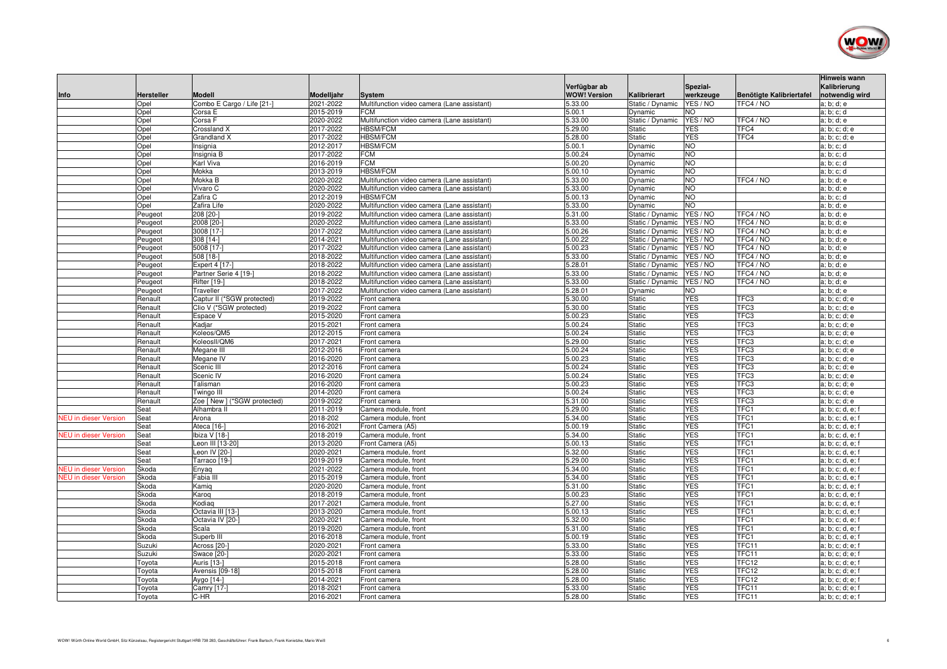

| Info                         | Hersteller | <b>Modell</b>                | Modelljahr             | <b>System</b>                               | Verfügbar ab<br><b>WOW! Version</b> | Kalibrierart                   | Spezial-<br>werkzeuge | Benötigte Kalibriertafel | <b>Hinweis wann</b><br>Kalibrierung<br>notwendig wird |
|------------------------------|------------|------------------------------|------------------------|---------------------------------------------|-------------------------------------|--------------------------------|-----------------------|--------------------------|-------------------------------------------------------|
|                              | Opel       | Combo E Cargo / Life [21-]   | 2021-2022              | Multifunction video camera (Lane assistant) | 5.33.00                             | Static / Dynamic               | YES / NO              | TFC4 / NO                | a; b; d; e                                            |
|                              | Opel       | Corsa E                      | 2015-2019              | <b>FCM</b>                                  | 5.00.1                              | Dynamic                        | <b>NO</b>             |                          | a; b; c; d                                            |
|                              | Opel       | Corsa F                      | 2020-2022              | Multifunction video camera (Lane assistant) | 5.33.00                             | Static / Dynamic               | YES / NO              | TFC4 / NO                | a; b; d; e                                            |
|                              | Opel       | Crossland X                  | 2017-2022              | <b>HBSM/FCM</b>                             | 5.29.00                             | <b>Static</b>                  | <b>YES</b>            | TFC4                     | a; b; c; d; e                                         |
|                              | Opel       | Grandland X                  | 2017-2022              | <b>HBSM/FCM</b>                             | 5.28.00                             | <b>Static</b>                  | <b>YES</b>            | TFC4                     | a; b; c; d; e                                         |
|                              | Opel       | Insignia                     | 2012-2017              | <b>HBSM/FCM</b>                             | 5.00.1                              | Dynamic                        | <b>NO</b>             |                          | a; b; c; d                                            |
|                              | Opel       | Insignia B                   | 2017-2022              | <b>FCM</b>                                  | 5.00.24                             | Dynamic                        | <b>NO</b>             |                          | a; b; c; d                                            |
|                              | Opel       | Karl Viva                    | 2016-2019              | <b>FCM</b>                                  | 5.00.20                             | Dynamic                        | <b>NO</b>             |                          | a; b; c; d                                            |
|                              | Opel       | Mokka                        | 2013-2019              | <b>HBSM/FCM</b>                             | 5.00.10                             | Dynamic                        | <b>NO</b>             |                          | a; b; c; d                                            |
|                              | Opel       | Mokka B                      | 2020-2022              | Multifunction video camera (Lane assistant  | 5.33.00                             | Dynamic                        | <b>NO</b>             | TFC4 / NO                | a; b; d; e                                            |
|                              | Opel       | Vivaro C                     | 2020-2022              | Multifunction video camera (Lane assistant) | 5.33.00                             | Dynamic                        | <b>NO</b>             |                          | a; b; d; e                                            |
|                              | Opel       | Zafira C                     | 2012-2019              | <b>HBSM/FCM</b>                             | 5.00.13                             | Dynamic                        | <b>NO</b>             |                          | a; b; c; d                                            |
|                              | Opel       | Zafira Life                  | 2020-2022              | Multifunction video camera (Lane assistant) | 5.33.00                             | Dynamic                        | <b>NO</b>             |                          | a; b; d; e                                            |
|                              | Peugeot    | 208 [20-]                    | 2019-2022              | Multifunction video camera (Lane assistant) | 5.31.00                             | Static / Dynamic               | YES / NO              | TFC4 / NO                | a; b; d; e                                            |
|                              | Peugeot    | 2008 [20-]                   | 2020-2022              | Multifunction video camera (Lane assistant) | 5.33.00                             | Static / Dynamic               | YES / NO              | TFC4 / NO                | a; b; d; e                                            |
|                              | Peugeot    | 3008 [17-]                   | 2017-2022              | Multifunction video camera (Lane assistant) | 5.00.26                             | Static / Dynamic               | YES / NO              | TFC4 / NO                | a; b; d; e                                            |
|                              | Peugeot    | $308$ [14-]                  | 2014-2021              | Multifunction video camera (Lane assistant) | 5.00.22                             | Static / Dynamic               | YES / NO              | TFC4 / NO                | a; b; d; e                                            |
|                              | Peugeot    | 5008 [17-]                   | 2017-2022              | Multifunction video camera (Lane assistant) | 5.00.23                             | Static / Dynamic               | YES / NO              | TFC4 / NO                | a; b; d; e                                            |
|                              | Peugeot    | 508 [18-]                    | 2018-2022              | Multifunction video camera (Lane assistant) | 5.33.00                             | Static / Dynamic               | YES / NO              | TFC4 / NO                | a; b; d; e                                            |
|                              | Peugeot    | Expert 4 [17-]               | 2018-2022              | Multifunction video camera (Lane assistant) | 5.28.01                             | Static / Dynamic               | YES / NO              | TFC4 / NO                | a; b; d; e                                            |
|                              | Peugeot    | Partner Serie 4 [19-]        | 2018-2022              | Multifunction video camera (Lane assistant) | 5.33.00                             | Static / Dynamic               | YES / NO              | TFC4 / NO                | a; b; d; e                                            |
|                              | Peugeot    | Rifter [19-]                 | 2018-2022              | Multifunction video camera (Lane assistant) | 5.33.00                             | Static / Dynamic               | YES / NO              | TFC4 / NO                | a; b; d; e                                            |
|                              | Peugeot    | Traveller                    | 2017-2022              | Multifunction video camera (Lane assistant) | 5.28.01                             | Dynamic                        | <b>NO</b>             |                          | a; b; d; e                                            |
|                              | Renault    | Captur II (*SGW protected)   | 2019-2022              | Front camera                                | 5.30.00                             | <b>Static</b>                  | <b>YES</b>            | TFC3                     | a; b; c; d; e                                         |
|                              | Renault    | Clio V (*SGW protected)      | 2019-2022              | Front camera                                | 5.30.00                             | Static                         | <b>YES</b>            | TFC3                     | a; b; c; d; e                                         |
|                              | Renault    | Espace V                     | 2015-2020              | Front camera                                | 5.00.23                             | Static                         | <b>YES</b>            | TFC3                     | a; b; c; d; e                                         |
|                              | Renault    | Kadiar                       | 2015-2021              | Front camera                                | 5.00.24                             | <b>Static</b>                  | <b>YES</b>            | TFC3                     | a; b; c; d; e                                         |
|                              | Renault    | Koleos/QM5                   | 2012-2015              | Front camera                                | 5.00.24                             | <b>Static</b>                  | <b>YES</b>            | TFC3                     | a; b; c; d; e                                         |
|                              | Renault    | KoleosII/QM6                 | 2017-2021              | Front camera                                | 5.29.00                             | <b>Static</b>                  | <b>YES</b>            | TFC3                     | a; b; c; d; e                                         |
|                              | Renault    | Megane III                   | 2012-2016              | Front camera                                | 5.00.24                             | <b>Static</b>                  | <b>YES</b>            | TFC3                     | a; b; c; d; e                                         |
|                              | Renault    | Megane IV                    | 2016-2020              | Front camera                                | 5.00.23                             | <b>Static</b>                  | <b>YES</b>            | TFC3                     | a; b; c; d; e                                         |
|                              | Renault    | Scenic III                   | 2012-2016              | Front camera                                | 5.00.24                             | <b>Static</b>                  | <b>YES</b>            | TFC3                     | a: b; c; d; e                                         |
|                              | Renault    | Scenic IV                    | 2016-2020              | Front camera                                | 5.00.24                             | <b>Static</b>                  | <b>YES</b>            | TFC3                     | a; b; c; d; e                                         |
|                              | Renault    | Talisman                     | 2016-2020              | Front camera                                | 5.00.23                             | <b>Static</b>                  | <b>YES</b>            | TFC3                     | a; b; c; d; e                                         |
|                              | Renault    | Twingo III                   | 2014-2020              | Front camera                                | 5.00.24                             | Static                         | <b>YES</b>            | TFC3                     | a; b; c; d; e                                         |
|                              | Renault    | Zoe [ New ] (*SGW protected) | 2019-2022              | Front camera                                | 5.31.00                             | Static                         | <b>YES</b>            | TFC3                     | a; b; c; d; e                                         |
|                              | Seat       | Alhambra II                  | 2011-2019              | Camera module, front                        | 5.29.00                             | <b>Static</b>                  | <b>YES</b>            | TFC1                     | a; b; c; d, e; f                                      |
| <b>NEU</b> in dieser Version | Seat       | Arona                        | 2018-202               | Camera module, front                        | 5.34.00                             | <b>Static</b>                  | <b>YES</b>            | TFC1                     | a; b; c; d, e; f                                      |
|                              | Seat       | Ateca [16-]                  | 2016-2021              | Front Camera (A5)                           | 5.00.19                             | Static                         | <b>YES</b>            | TFC1                     | a; b; c; d, e; f                                      |
| <b>NEU</b> in dieser Version | Seat       | lbiza V [18-1                | 2018-2019              | Camera module, front                        | 5.34.00                             | <b>Static</b>                  | <b>YES</b>            | TFC1                     | a; b; c; d, e; f                                      |
|                              | Seat       | Leon III [13-20]             | 2013-2020              | Front Camera (A5)                           | 5.00.13                             | Static                         | <b>YES</b>            | TFC1                     | a; b; c; d, e; f                                      |
|                              | Seat       | Leon IV [20-]                | 2020-2021              | Camera module, front                        | 5.32.00                             | <b>Static</b>                  | <b>YES</b>            | TFC1                     | a; b; c; d, e; f                                      |
|                              | Seat       | Tarraco [19-]                | 2019-2019              | Camera module, front                        | 5.29.00                             | Static                         | <b>YES</b>            | TFC1                     | a; b; c; d, e; f                                      |
| <b>NEU</b> in dieser Version | Škoda      | Enyaq                        | 2021-2022              | Camera module, front                        | 5.34.00                             | Static                         | <b>YES</b>            | TFC1                     | a; b; c; d, e; f                                      |
| <b>NEU</b> in dieser Version | Škoda      | Fabia II                     | 2015-2019              | Camera module, front                        | 5.34.00                             | <b>Static</b>                  | <b>YES</b>            | TFC1                     | a; b; c; d, e; f                                      |
|                              | Škoda      | Kamiq                        | 2020-2020              | Camera module, front                        | 5.31.00                             | <b>Static</b>                  | <b>YES</b>            | TFC1                     | a; b; c; d, e; f                                      |
|                              | Škoda      | Karog                        | 2018-2019              | Camera module, front                        | 5.00.23                             | <b>Static</b>                  | <b>YES</b>            | TFC1                     | a; b; c; d, e; f                                      |
|                              | Škoda      | Kodiag                       | 2017-2021              | Camera module, front                        | 5.27.00                             | Static                         | <b>YES</b>            | TFC1                     | a; b; c; d, e; f                                      |
|                              | Škoda      | Octavia III [13-]            | 2013-2020              | Camera module, front                        | 5.00.13                             | <b>Static</b>                  | <b>YES</b>            | TFC1                     | a; b; c; d, e; f                                      |
|                              | Škoda      | Octavia IV [20-]             | 2020-2021              | Camera module, front                        | 5.32.00                             | <b>Static</b>                  | <b>YES</b>            | TFC1<br>TFC1             | a; b; c; d, e; f                                      |
|                              | Škoda      | Scala                        | 2019-2020              | Camera module, front                        | 5.31.00                             | <b>Static</b>                  | <b>YES</b>            | TFC1                     | a; b; c; d, e; f                                      |
|                              | Škoda      | Superb III                   | 2016-2018<br>2020-2021 | Camera module, front                        | 5.00.19<br>5.33.00                  | <b>Static</b><br><b>Static</b> | <b>YES</b>            | TFC11                    | a; b; c; d, e; f                                      |
|                              | Suzuki     | Across [20-]                 |                        | Front camera                                | 5.33.00                             |                                | <b>YES</b>            | TFC11                    | a; b; c; d; e; f                                      |
|                              | Suzuki     | Swace [20-1                  | 2020-2021              | Front camera                                | 5.28.00                             | <b>Static</b>                  | <b>YES</b>            | TFC12                    | a; b; c; d; e; f                                      |
|                              | Toyota     | Auris [13-]                  | 2015-2018              | Front camera                                |                                     | <b>Static</b>                  | <b>YES</b>            |                          | a; b; c; d; e; f                                      |
|                              | Toyota     | Avensis [09-18]              | 2015-2018              | Front camera                                | 5.28.00<br>5.28.00                  | <b>Static</b>                  | <b>YES</b>            | TFC12<br>TFC12           | a; b; c; d; e; f                                      |
|                              | Toyota     | Aygo [14-]                   | 2014-2021<br>2018-2021 | Front camera                                | 5.33.00                             | <b>Static</b><br><b>Static</b> | <b>YES</b>            | TFC11                    | a; b; c; d; e; f                                      |
|                              | Toyota     | Camry [17-]<br>C-HR          | 2016-2021              | Front camera                                | 5.28.00                             | <b>Static</b>                  | <b>YES</b>            | TFC11                    | a; b; c; d; e; f<br>a; b; c; d; e; f                  |
|                              | Toyota     |                              |                        | Front camera                                |                                     |                                |                       |                          |                                                       |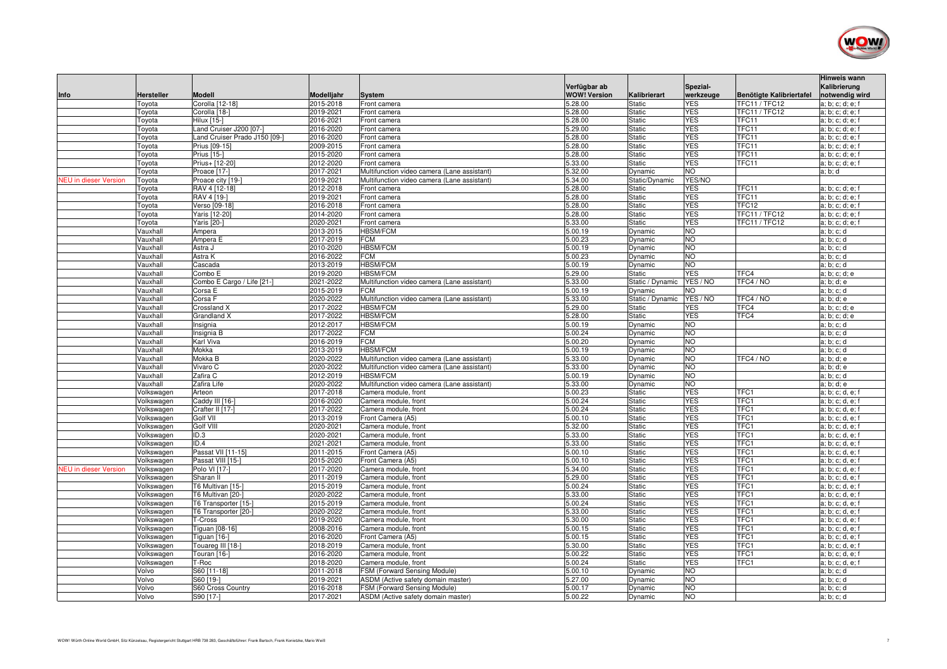

|                              |                          |                                              |                        |                                                                                            | Verfügbar ab        |                                | Spezial-                 |                            | Hinweis wann<br>Kalibrierung         |
|------------------------------|--------------------------|----------------------------------------------|------------------------|--------------------------------------------------------------------------------------------|---------------------|--------------------------------|--------------------------|----------------------------|--------------------------------------|
| Info                         | Hersteller               | <b>Modell</b>                                | Modelljahr             | System                                                                                     | <b>WOW! Version</b> | Kalibrierart                   | werkzeuge                | Benötigte Kalibriertafel   | notwendig wird                       |
|                              | Toyota                   | Corolla [12-18]                              | 2015-2018              | Front camera                                                                               | 5.28.00             | <b>Static</b>                  | <b>YES</b>               | <b>TFC11 / TFC12</b>       | a; b; c; d; e; f                     |
|                              | Toyota                   | Corolla [18-                                 | 2019-2021              | Front camera                                                                               | 5.28.00             | Static                         | <b>YES</b>               | <b>TFC11 / TFC12</b>       | a; b; c; d; e; f                     |
|                              | Toyota                   | Hilux [15-]                                  | 2016-2021              | Front camera                                                                               | 5.28.00             | Static                         | <b>YES</b>               | TFC11                      | a; b; c; d; e; f                     |
|                              | Toyota                   | Land Cruiser J200 [07-1                      | 2016-2020              | Front camera                                                                               | 5.29.00             | Static                         | <b>YES</b>               | TFC11                      | a; b; c; d; e; f                     |
|                              | Toyota                   | Land Cruiser Prado J150 [09-]                | 2016-2020              | Front camera                                                                               | 5.28.00             | <b>Static</b>                  | <b>YES</b>               | TFC11                      | a; b; c; d; e; f                     |
|                              | Toyota                   | Prius [09-15]                                | 2009-2015              | Front camera                                                                               | 5.28.00             | Static                         | <b>YES</b>               | TFC11                      | a; b; c; d; e; f                     |
|                              | Toyota                   | Prius [15-]                                  | 2015-2020              | Front camera                                                                               | 5.28.00             | Static                         | <b>YES</b>               | TFC11                      | a; b; c; d; e; f                     |
|                              | Toyota                   | Prius+ [12-20]                               | 2012-2020              | Front camera                                                                               | 5.33.00             | Static                         | <b>YES</b>               | TFC11                      | a; b; c; d; e; f                     |
|                              | Toyota                   | Proace [17-]                                 | 2017-2021              | Multifunction video camera (Lane assistant)                                                | 5.32.00             | Dynamic                        | NO.                      |                            | a; b; d                              |
| <b>NEU</b> in dieser Version | Toyota                   | Proace city [19-]                            | 2019-2021              | Multifunction video camera (Lane assistant)                                                | 5.34.00             | Static/Dynamic                 | YES/NO                   |                            |                                      |
|                              | Toyota                   | RAV 4 [12-18]                                | 2012-2018<br>2019-2021 | Front camera                                                                               | 5.28.00<br>5.28.00  | Static<br>Static               | <b>YES</b><br><b>YES</b> | TFC11<br>TFC1 <sup>-</sup> | a; b; c; d; e; f                     |
|                              | Toyota                   | RAV 4 [19-]<br>Verso [09-18]                 | 2016-2018              | Front camera<br>Front camera                                                               | 5.28.00             | Static                         | <b>YES</b>               | TFC12                      | a; b; c; d; e; f<br>a; b; c; d; e; f |
|                              | Toyota<br>Toyota         | Yaris [12-20]                                | 2014-2020              | Front camera                                                                               | 5.28.00             | Static                         | <b>YES</b>               | <b>TFC11 / TFC12</b>       | a; b; c; d; e; f                     |
|                              | Toyota                   | Yaris [20-]                                  | 2020-2021              | Front camera                                                                               | 5.33.00             | <b>Static</b>                  | <b>YES</b>               | <b>TFC11 / TFC12</b>       | a; b; c; d; e; f                     |
|                              | Vauxhall                 | Ampera                                       | 2013-2015              | <b>HBSM/FCM</b>                                                                            | 5.00.19             | Dynamic                        | <b>NO</b>                |                            | a; b; c; d                           |
|                              | Vauxhall                 | Ampera E                                     | 2017-2019              | FCM                                                                                        | 5.00.23             | Dynamic                        | <b>NO</b>                |                            | a; b; c; d                           |
|                              | Vauxhall                 | Astra J                                      | 2010-2020              | <b>HBSM/FCM</b>                                                                            | 5.00.19             | Dynamic                        | N <sub>O</sub>           |                            | a; b; c; d                           |
|                              | Vauxhall                 | Astra K                                      | 2016-2022              | FCM                                                                                        | 5.00.23             | Dynamic                        | <b>NO</b>                |                            | a; b; c; d                           |
|                              | Vauxhall                 | Cascada                                      | 2013-2019              | <b>HBSM/FCM</b>                                                                            | 5.00.19             | Dynamic                        | <b>NO</b>                |                            | a; b; c; d                           |
|                              | Vauxhall                 | Combo E                                      | 2019-2020              | <b>HBSM/FCM</b>                                                                            | 5.29.00             | Static                         | <b>YES</b>               | TFC4                       | a; b; c; d; e                        |
|                              | Vauxhall                 | Combo E Cargo / Life [21-]                   | 2021-2022              | Multifunction video camera (Lane assistant)                                                | 5.33.00             | Static / Dynamic               | YES / NO                 | TFC4 / NO                  | a; b; d; e                           |
|                              | Vauxhall                 | Corsa E                                      | 2015-2019              | FCM                                                                                        | 5.00.19             | Dynamic                        | NO                       |                            | a; b; c; d                           |
|                              | Vauxhall                 | Corsa F                                      | 2020-2022              | Multifunction video camera (Lane assistant)                                                | 5.33.00             | Static / Dynamic               | YES / NO                 | TFC4 / NO                  | a; b; d; e                           |
|                              | Vauxhall                 | Crossland X                                  | 2017-2022              | <b>HBSM/FCM</b>                                                                            | 5.29.00             | <b>Static</b>                  | <b>YES</b>               | TFC4                       | a; b; c; d; e                        |
|                              | Vauxhall                 | Grandland X                                  | 2017-2022              | <b>HBSM/FCM</b>                                                                            | 5.28.00             | Static                         | <b>YES</b>               | TFC4                       | a; b; c; d; e                        |
|                              | Vauxhall                 | Insignia                                     | 2012-2017              | <b>HBSM/FCM</b>                                                                            | 5.00.19             | Dynamic                        | NO                       |                            | a; b; c; d                           |
|                              | Vauxhall                 | Insignia B                                   | 2017-2022              | FCM                                                                                        | 5.00.24             | Dynamic                        | N <sub>O</sub>           |                            | a; b; c; d                           |
|                              | Vauxhall                 | Karl Viva                                    | 2016-2019              | FCM                                                                                        | 5.00.20             | Dynamic                        | <b>NO</b>                |                            | a; b; c; d                           |
|                              | Vauxhall                 | Mokka<br>Mokka B                             | 2013-2019<br>2020-2022 | <b>HBSM/FCM</b>                                                                            | 5.00.19<br>5.33.00  | Dynamic                        | <b>NO</b><br><b>NO</b>   | TFC4 / NO                  | a; b; c; d                           |
|                              | Vauxhall<br>Vauxhall     | Vivaro C                                     | 2020-2022              | Multifunction video camera (Lane assistant)<br>Multifunction video camera (Lane assistant) | 5.33.00             | Dynamic<br>Dynamic             | <b>NO</b>                |                            | a; b; d; e<br>a; b; d; e             |
|                              | Vauxhall                 | Zafira C                                     | 2012-2019              | <b>HBSM/FCM</b>                                                                            | 5.00.19             | Dynamic                        | <b>NO</b>                |                            | a; b; c; d                           |
|                              | Vauxhall                 | Zafira Life                                  | 2020-2022              | Multifunction video camera (Lane assistant)                                                | 5.33.00             | Dynamic                        | NO                       |                            | a; b; d; e                           |
|                              | Volkswagen               | Arteon                                       | 2017-2018              | Camera module, front                                                                       | 5.00.23             | Static                         | <b>YES</b>               | TFC1                       | a; b; c; d, e; f                     |
|                              | Volkswagen               | Caddy III [16-1                              | 2016-2020              | Camera module, front                                                                       | 5.00.24             | Static                         | <b>YES</b>               | TFC1                       | a; b; c; d, e; f                     |
|                              | Volkswagen               | Crafter II [17-]                             | 2017-2022              | Camera module, front                                                                       | 5.00.24             | Static                         | <b>YES</b>               | TFC1                       | a; b; c; d, e; f                     |
|                              | Volkswagen               | Golf VII                                     | 2013-2019              | Front Camera (A5)                                                                          | 5.00.10             | Static                         | <b>YES</b>               | TFC1                       | a; b; c; d, e; f                     |
|                              | Volkswagen               | Golf VIII                                    | 2020-2021              | Camera module, front                                                                       | 5.32.00             | <b>Static</b>                  | <b>YES</b>               | TFC1                       | a; b; c; d, e; f                     |
|                              | Volkswagen               | ID.3                                         | 2020-2021              | Camera module, front                                                                       | 5.33.00             | Static                         | <b>YES</b>               | TFC1                       | a; b; c; d, e; f                     |
|                              | Volkswagen               | ID.4                                         | 2021-2021              | Camera module, front                                                                       | 5.33.00             | Static                         | <b>YES</b>               | TFC1                       | a; b; c; d, e; f                     |
|                              | Volkswagen               | Passat VII [11-15]                           | 2011-2015              | Front Camera (A5)                                                                          | 5.00.10             | Static                         | <b>YES</b>               | TFC1                       | a; b; c; d, e; f                     |
|                              | Volkswagen               | Passat VIII [15-]                            | 2015-2020              | Front Camera (A5)                                                                          | 5.00.10             | <b>Static</b>                  | <b>YES</b>               | TFC1                       | a; b; c; d, e; f                     |
| <b>NEU</b> in dieser Version | Volkswagen               | Polo VI [17-]                                | 2017-2020              | Camera module, front                                                                       | 5.34.00             | <b>Static</b>                  | <b>YES</b>               | TFC1                       | a; b; c; d, e; f                     |
|                              | Volkswagen               | Sharan II                                    | 2011-2019              | Camera module, front                                                                       | 5.29.00             | <b>Static</b>                  | <b>YES</b>               | TFC1                       | a; b; c; d, e; f                     |
|                              | Volkswagen               | T6 Multivan [15-]                            | 2015-2019              | Camera module, front                                                                       | 5.00.24             | Static                         | <b>YES</b><br><b>YES</b> | TFC1<br>TFC1               | a; b; c; d, e; f                     |
|                              | Volkswagen               | T6 Multivan [20-]                            | 2020-2022<br>2015-2019 | Camera module, front                                                                       | 5.33.00<br>5.00.24  | <b>Static</b><br><b>Static</b> | <b>YES</b>               | TFC1                       | a; b; c; d, e; f                     |
|                              | Volkswagen               | T6 Transporter [15-]<br>T6 Transporter [20-] | 2020-2022              | Camera module, front<br>Camera module, front                                               | 5.33.00             | <b>Static</b>                  | <b>YES</b>               | TFC1                       | a; b; c; d, e; f                     |
|                              | Volkswagen<br>Volkswagen | T-Cross                                      | 2019-2020              | Camera module, front                                                                       | 5.30.00             | <b>Static</b>                  | <b>YES</b>               | TFC1                       | a; b; c; d, e; f<br>a; b; c; d, e; f |
|                              | Volkswagen               | Tiguan [08-16]                               | 2008-2016              | Camera module, front                                                                       | 5.00.15             | Static                         | <b>YES</b>               | TFC1                       | a; b; c; d, e; f                     |
|                              | Volkswagen               | Tiguan [16-]                                 | 2016-2020              | Front Camera (A5)                                                                          | 5.00.15             | <b>Static</b>                  | <b>YES</b>               | TFC1                       | a; b; c; d, e; f                     |
|                              | Volkswagen               | Touareg III [18-                             | 2018-2019              | Camera module, front                                                                       | 5.30.00             | <b>Static</b>                  | <b>YES</b>               | TFC1                       | a; b; c; d, e; f                     |
|                              | Volkswagen               | Touran [16-]                                 | 2016-2020              | Camera module, front                                                                       | 5.00.22             | Static                         | <b>YES</b>               | TFC1                       | a; b; c; d, e; f                     |
|                              | Volkswagen               | T-Roc                                        | 2018-2020              | Camera module, front                                                                       | 5.00.24             | <b>Static</b>                  | <b>YES</b>               | TFC1                       | a; b; c; d, e; f                     |
|                              | Volvo                    | S60 [11-18]                                  | 2011-2018              | FSM (Forward Sensing Module)                                                               | 5.00.10             | Dynamic                        | <b>NO</b>                |                            | a; b; c; d                           |
|                              | Volvo                    | S60 [19-]                                    | 2019-2021              | ASDM (Active safety domain master)                                                         | 5.27.00             | Dynamic                        | <b>NO</b>                |                            | a; b; c; d                           |
|                              | Volvo                    | S60 Cross Country                            | 2016-2018              | FSM (Forward Sensing Module)                                                               | 5.00.17             | Dynamic                        | NO                       |                            | a; b; c; d                           |
|                              | Volvo                    | S90 [17-]                                    | 2017-2021              | ASDM (Active safety domain master)                                                         | 5.00.22             | Dynamic                        | <b>NO</b>                |                            | a; b; c; d                           |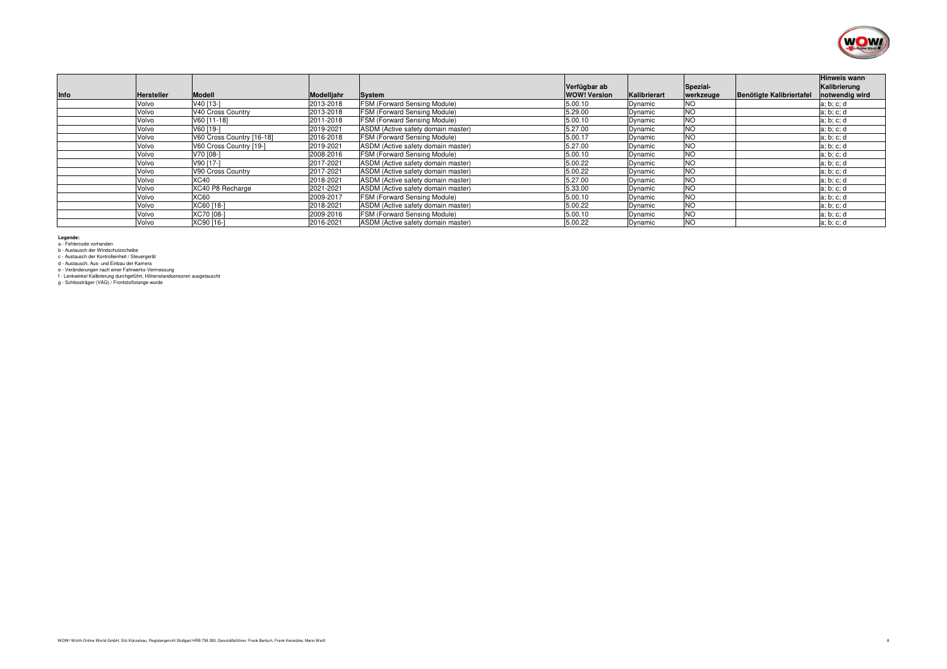

|      |                   |                           |            |                                     | Verfügbar ab        |              | Spezial-  | <b>Hinweis wann</b><br>Kalibrierung       |
|------|-------------------|---------------------------|------------|-------------------------------------|---------------------|--------------|-----------|-------------------------------------------|
| Info | <b>Hersteller</b> | <b>Modell</b>             | Modelljahr | System                              | <b>WOW! Version</b> | Kalibrierart | werkzeuge | Benötigte Kalibriertafe<br>notwendig wird |
|      | Volvo             | V40 [13-]                 | 2013-2018  | <b>FSM (Forward Sensing Module)</b> | 5.00.10             | Dynamic      | NO        | a; b; c; d                                |
|      | Volvo             | V40 Cross Country         | 2013-2018  | <b>FSM (Forward Sensing Module)</b> | 5.29.00             | Dynamic      | <b>NO</b> | a; b; c; d                                |
|      | Volvo             | V60 [11-18]               | 2011-2018  | FSM (Forward Sensing Module)        | 5.00.10             | Dynamic      | <b>NO</b> | a; b; c; d                                |
|      | Volvo             | V60 [19-]                 | 2019-2021  | ASDM (Active safety domain master)  | 5.27.00             | Dynamic      | <b>NO</b> | a; b; c; d                                |
|      | Volvo             | V60 Cross Country [16-18] | 2016-2018  | FSM (Forward Sensing Module)        | 5.00.17             | Dynamic      | <b>NO</b> | a; b; c; d                                |
|      | Volvo             | V60 Cross Country [19-]   | 2019-2021  | ASDM (Active safety domain master)  | 5.27.00             | Dynamic      | <b>NO</b> | a; b; c; d                                |
|      | Volvo             | V70 [08-]                 | 2008-2016  | <b>FSM (Forward Sensing Module)</b> | 5.00.10             | Dynamic      | <b>NO</b> | a; b; c; d                                |
|      | Volvo             | V90 [17-]                 | 2017-2021  | ASDM (Active safety domain master)  | 5.00.22             | Dynamic      | <b>NO</b> | a; b; c; d                                |
|      | Volvo             | V90 Cross Country         | 2017-2021  | ASDM (Active safety domain master)  | 5.00.22             | Dynamic      | <b>NO</b> | a; b; c; d                                |
|      | Volvo             | XC40                      | 2018-2021  | ASDM (Active safety domain master)  | 5.27.00             | Dynamic      | <b>NO</b> | a:b:c:d                                   |
|      | Volvo             | XC40 P8 Recharge          | 2021-2021  | ASDM (Active safety domain master)  | 5.33.00             | Dynamic      | <b>NO</b> | a; b; c; d                                |
|      | Volvo             | <b>XC60</b>               | 2009-2017  | <b>FSM (Forward Sensing Module)</b> | 5.00.10             | Dynamic      | <b>NO</b> | a; b; c; d                                |
|      | Volvo             | XC60 [18-]                | 2018-2021  | ASDM (Active safety domain master)  | 5.00.22             | Dynamic      | <b>NO</b> | a; b; c; d                                |
|      | Volvo             | XC70 [08-]                | 2009-2016  | FSM (Forward Sensing Module)        | 5.00.10             | Dynamic      | <b>NO</b> | a; b; c; d                                |
|      | Volvo             | XC90 [16-]                | 2016-2021  | ASDM (Active safety domain master)  | 5.00.22             | Dynamic      | <b>NO</b> | a; b; c; d                                |

**Legende:**<br>a - Fehlercode vorhanden<br>b - Austausch der Windschutzscheibe<br>c - Austausch der Kontrolleinheit / Steuergerät

f - Lenkwinkel Kalibrierung durchgeführt, Höhenstandsensoren ausgetauscht

d - Austausch, Aus- und Einbau der Kamera<br>e - Veränderungen nach einer Fahrwerks-Vermessung<br>f - Lenkwinkel Kalibrierung durchgeführt, Höhenstands<br>g - Schlossträger (VAG) / Frontstoßstange wurde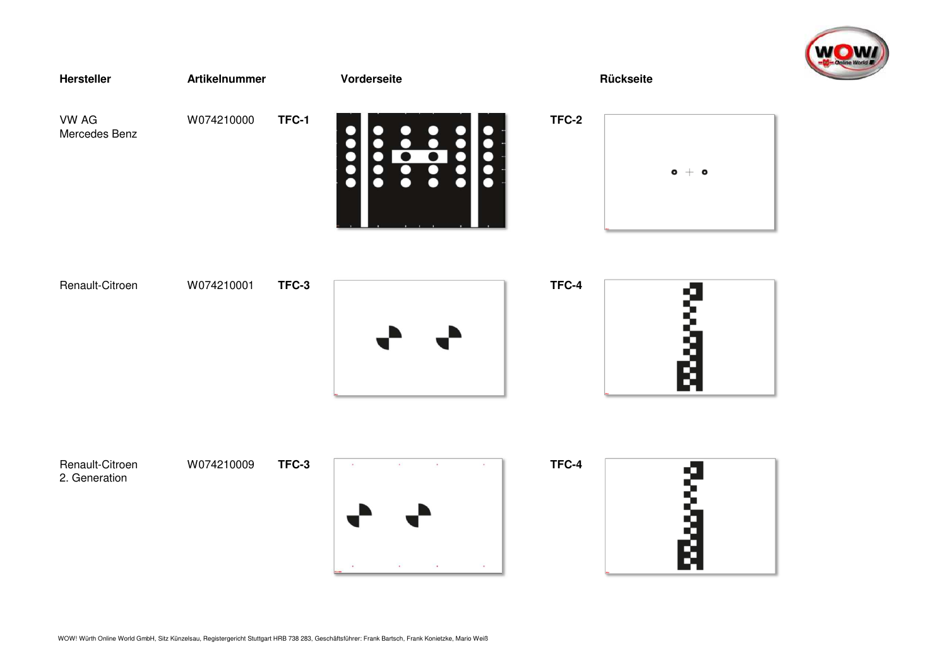

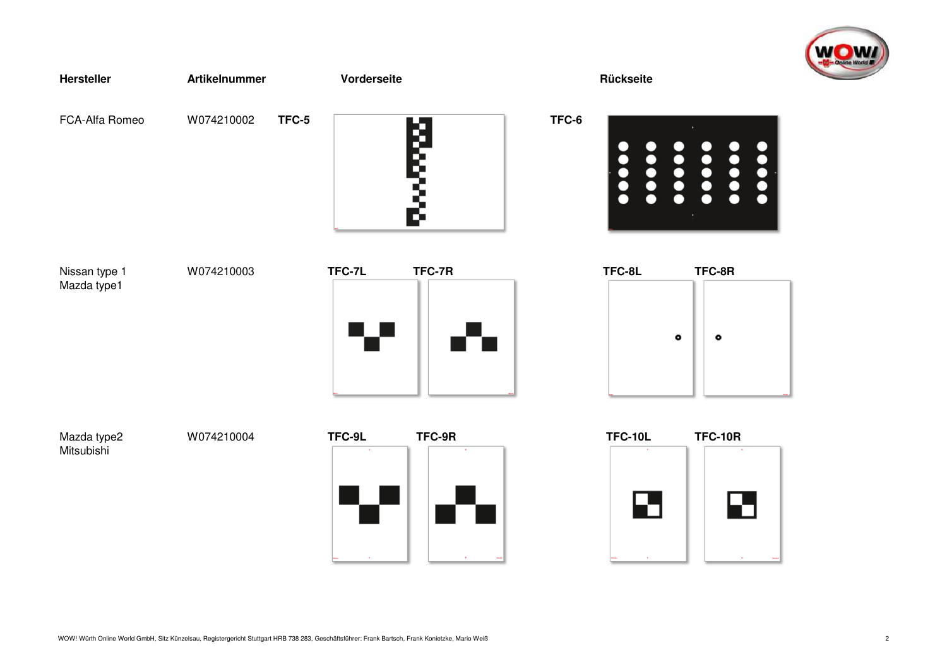





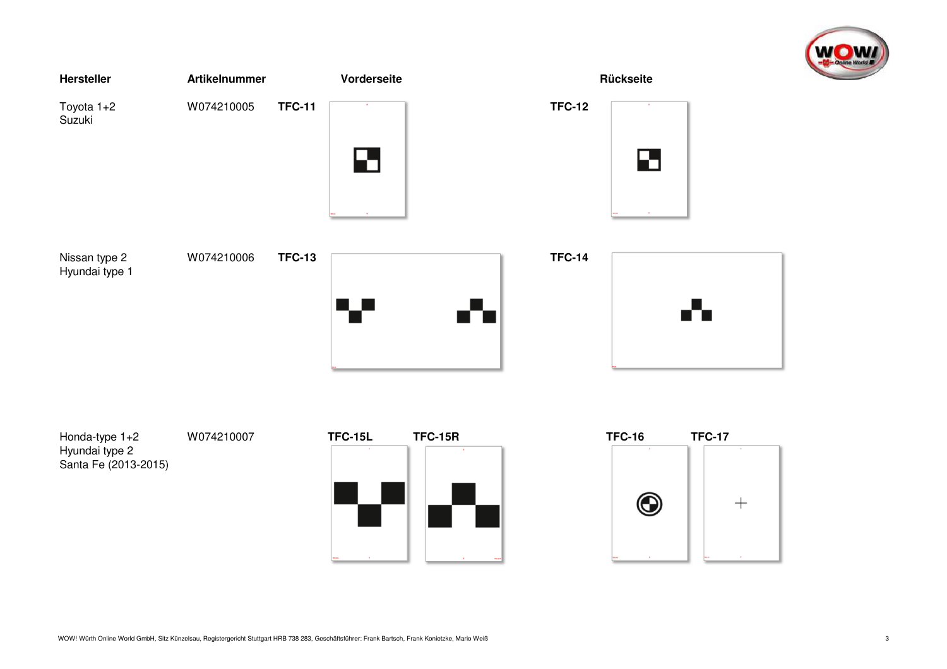

| Hersteller                      | <b>Artikelnummer</b> | Vorderseite                          | Rückseite                               |
|---------------------------------|----------------------|--------------------------------------|-----------------------------------------|
| Toyota 1+2<br>Suzuki            | W074210005           | <b>TFC-11</b><br>$\sim$<br>$\bullet$ | <b>TFC-12</b><br>$\sim$<br>$\mathbf{E}$ |
| Nissan type 2<br>Hyundai type 1 | W074210006           | <b>TFC-13</b>                        | <b>TFC-14</b>                           |

Hyundai type 2Santa Fe (2013-2015)